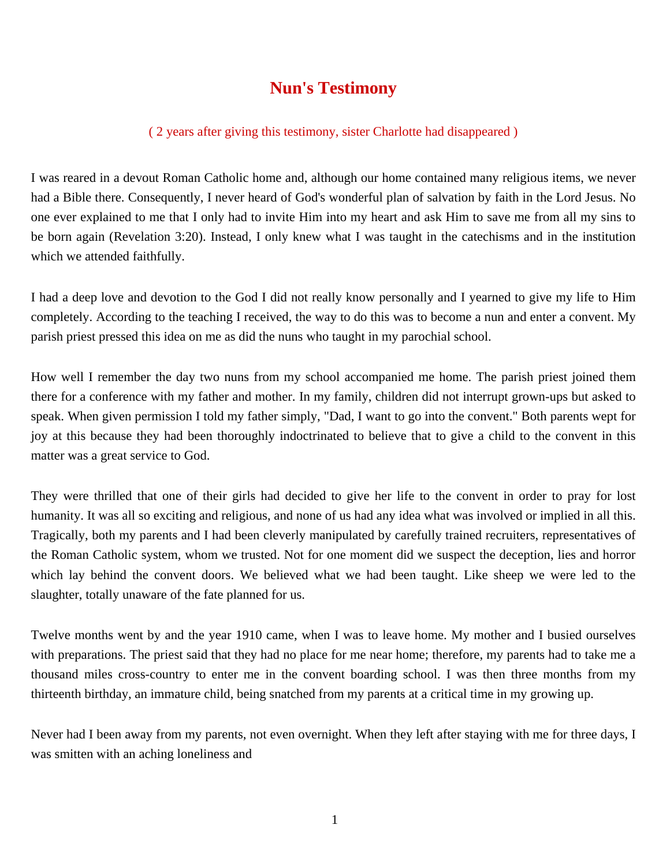## **Nun's Testimony**

## ( 2 years after giving this testimony, sister Charlotte had disappeared )

I was reared in a devout Roman Catholic home and, although our home contained many religious items, we never had a Bible there. Consequently, I never heard of God's wonderful plan of salvation by faith in the Lord Jesus. No one ever explained to me that I only had to invite Him into my heart and ask Him to save me from all my sins to be born again (Revelation 3:20). Instead, I only knew what I was taught in the catechisms and in the institution which we attended faithfully.

I had a deep love and devotion to the God I did not really know personally and I yearned to give my life to Him completely. According to the teaching I received, the way to do this was to become a nun and enter a convent. My parish priest pressed this idea on me as did the nuns who taught in my parochial school.

How well I remember the day two nuns from my school accompanied me home. The parish priest joined them there for a conference with my father and mother. In my family, children did not interrupt grown-ups but asked to speak. When given permission I told my father simply, "Dad, I want to go into the convent." Both parents wept for joy at this because they had been thoroughly indoctrinated to believe that to give a child to the convent in this matter was a great service to God.

They were thrilled that one of their girls had decided to give her life to the convent in order to pray for lost humanity. It was all so exciting and religious, and none of us had any idea what was involved or implied in all this. Tragically, both my parents and I had been cleverly manipulated by carefully trained recruiters, representatives of the Roman Catholic system, whom we trusted. Not for one moment did we suspect the deception, lies and horror which lay behind the convent doors. We believed what we had been taught. Like sheep we were led to the slaughter, totally unaware of the fate planned for us.

Twelve months went by and the year 1910 came, when I was to leave home. My mother and I busied ourselves with preparations. The priest said that they had no place for me near home; therefore, my parents had to take me a thousand miles cross-country to enter me in the convent boarding school. I was then three months from my thirteenth birthday, an immature child, being snatched from my parents at a critical time in my growing up.

Never had I been away from my parents, not even overnight. When they left after staying with me for three days, I was smitten with an aching loneliness and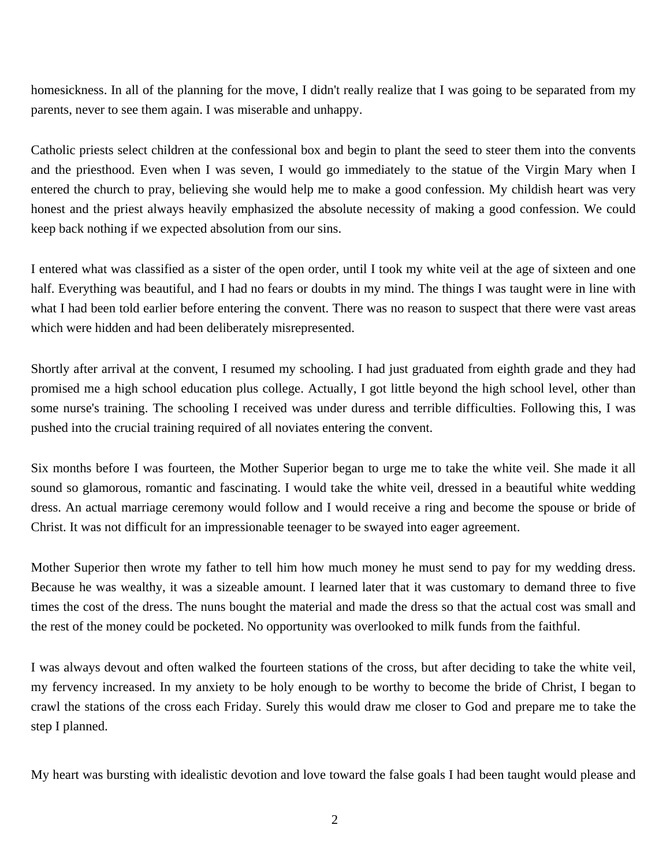homesickness. In all of the planning for the move, I didn't really realize that I was going to be separated from my parents, never to see them again. I was miserable and unhappy.

Catholic priests select children at the confessional box and begin to plant the seed to steer them into the convents and the priesthood. Even when I was seven, I would go immediately to the statue of the Virgin Mary when I entered the church to pray, believing she would help me to make a good confession. My childish heart was very honest and the priest always heavily emphasized the absolute necessity of making a good confession. We could keep back nothing if we expected absolution from our sins.

I entered what was classified as a sister of the open order, until I took my white veil at the age of sixteen and one half. Everything was beautiful, and I had no fears or doubts in my mind. The things I was taught were in line with what I had been told earlier before entering the convent. There was no reason to suspect that there were vast areas which were hidden and had been deliberately misrepresented.

Shortly after arrival at the convent, I resumed my schooling. I had just graduated from eighth grade and they had promised me a high school education plus college. Actually, I got little beyond the high school level, other than some nurse's training. The schooling I received was under duress and terrible difficulties. Following this, I was pushed into the crucial training required of all noviates entering the convent.

Six months before I was fourteen, the Mother Superior began to urge me to take the white veil. She made it all sound so glamorous, romantic and fascinating. I would take the white veil, dressed in a beautiful white wedding dress. An actual marriage ceremony would follow and I would receive a ring and become the spouse or bride of Christ. It was not difficult for an impressionable teenager to be swayed into eager agreement.

Mother Superior then wrote my father to tell him how much money he must send to pay for my wedding dress. Because he was wealthy, it was a sizeable amount. I learned later that it was customary to demand three to five times the cost of the dress. The nuns bought the material and made the dress so that the actual cost was small and the rest of the money could be pocketed. No opportunity was overlooked to milk funds from the faithful.

I was always devout and often walked the fourteen stations of the cross, but after deciding to take the white veil, my fervency increased. In my anxiety to be holy enough to be worthy to become the bride of Christ, I began to crawl the stations of the cross each Friday. Surely this would draw me closer to God and prepare me to take the step I planned.

My heart was bursting with idealistic devotion and love toward the false goals I had been taught would please and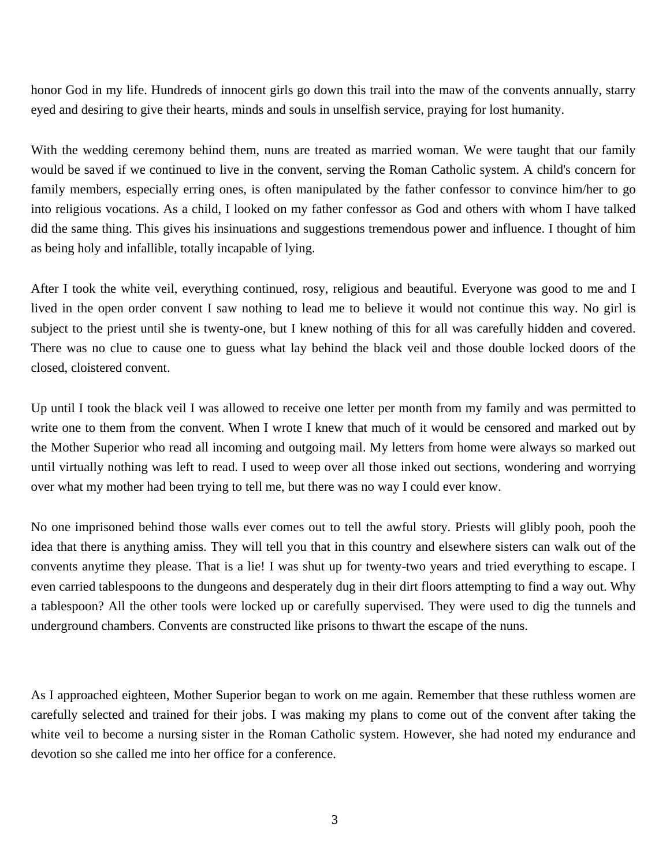honor God in my life. Hundreds of innocent girls go down this trail into the maw of the convents annually, starry eyed and desiring to give their hearts, minds and souls in unselfish service, praying for lost humanity.

With the wedding ceremony behind them, nuns are treated as married woman. We were taught that our family would be saved if we continued to live in the convent, serving the Roman Catholic system. A child's concern for family members, especially erring ones, is often manipulated by the father confessor to convince him/her to go into religious vocations. As a child, I looked on my father confessor as God and others with whom I have talked did the same thing. This gives his insinuations and suggestions tremendous power and influence. I thought of him as being holy and infallible, totally incapable of lying.

After I took the white veil, everything continued, rosy, religious and beautiful. Everyone was good to me and I lived in the open order convent I saw nothing to lead me to believe it would not continue this way. No girl is subject to the priest until she is twenty-one, but I knew nothing of this for all was carefully hidden and covered. There was no clue to cause one to guess what lay behind the black veil and those double locked doors of the closed, cloistered convent.

Up until I took the black veil I was allowed to receive one letter per month from my family and was permitted to write one to them from the convent. When I wrote I knew that much of it would be censored and marked out by the Mother Superior who read all incoming and outgoing mail. My letters from home were always so marked out until virtually nothing was left to read. I used to weep over all those inked out sections, wondering and worrying over what my mother had been trying to tell me, but there was no way I could ever know.

No one imprisoned behind those walls ever comes out to tell the awful story. Priests will glibly pooh, pooh the idea that there is anything amiss. They will tell you that in this country and elsewhere sisters can walk out of the convents anytime they please. That is a lie! I was shut up for twenty-two years and tried everything to escape. I even carried tablespoons to the dungeons and desperately dug in their dirt floors attempting to find a way out. Why a tablespoon? All the other tools were locked up or carefully supervised. They were used to dig the tunnels and underground chambers. Convents are constructed like prisons to thwart the escape of the nuns.

As I approached eighteen, Mother Superior began to work on me again. Remember that these ruthless women are carefully selected and trained for their jobs. I was making my plans to come out of the convent after taking the white veil to become a nursing sister in the Roman Catholic system. However, she had noted my endurance and devotion so she called me into her office for a conference.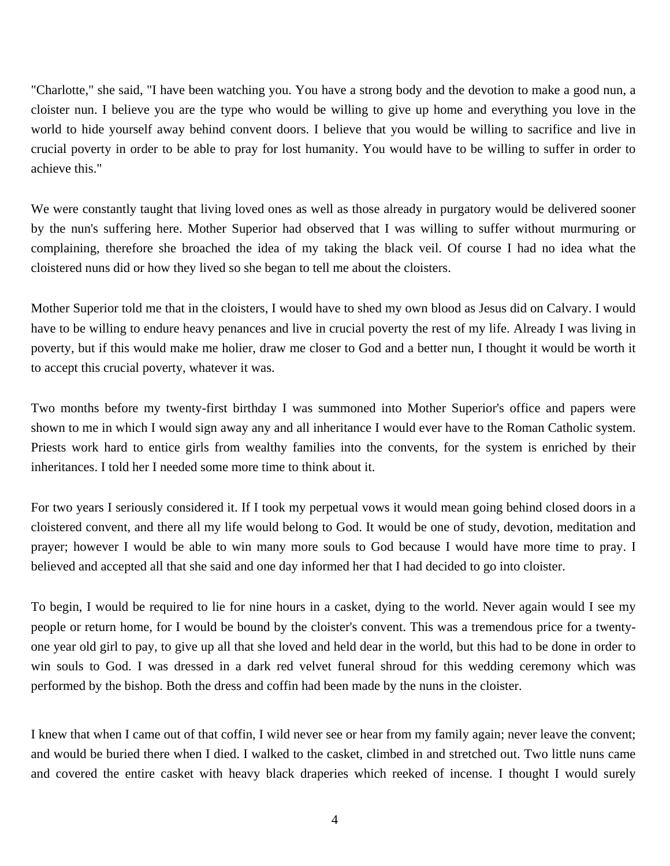"Charlotte," she said, "I have been watching you. You have a strong body and the devotion to make a good nun, a cloister nun. I believe you are the type who would be willing to give up home and everything you love in the world to hide yourself away behind convent doors. I believe that you would be willing to sacrifice and live in crucial poverty in order to be able to pray for lost humanity. You would have to be willing to suffer in order to achieve this."

We were constantly taught that living loved ones as well as those already in purgatory would be delivered sooner by the nun's suffering here. Mother Superior had observed that I was willing to suffer without murmuring or complaining, therefore she broached the idea of my taking the black veil. Of course I had no idea what the cloistered nuns did or how they lived so she began to tell me about the cloisters.

Mother Superior told me that in the cloisters, I would have to shed my own blood as Jesus did on Calvary. I would have to be willing to endure heavy penances and live in crucial poverty the rest of my life. Already I was living in poverty, but if this would make me holier, draw me closer to God and a better nun, I thought it would be worth it to accept this crucial poverty, whatever it was.

Two months before my twenty-first birthday I was summoned into Mother Superior's office and papers were shown to me in which I would sign away any and all inheritance I would ever have to the Roman Catholic system. Priests work hard to entice girls from wealthy families into the convents, for the system is enriched by their inheritances. I told her I needed some more time to think about it.

For two years I seriously considered it. If I took my perpetual vows it would mean going behind closed doors in a cloistered convent, and there all my life would belong to God. It would be one of study, devotion, meditation and prayer; however I would be able to win many more souls to God because I would have more time to pray. I believed and accepted all that she said and one day informed her that I had decided to go into cloister.

To begin, I would be required to lie for nine hours in a casket, dying to the world. Never again would I see my people or return home, for I would be bound by the cloister's convent. This was a tremendous price for a twentyone year old girl to pay, to give up all that she loved and held dear in the world, but this had to be done in order to win souls to God. I was dressed in a dark red velvet funeral shroud for this wedding ceremony which was performed by the bishop. Both the dress and coffin had been made by the nuns in the cloister.

I knew that when I came out of that coffin, I wild never see or hear from my family again; never leave the convent; and would be buried there when I died. I walked to the casket, climbed in and stretched out. Two little nuns came and covered the entire casket with heavy black draperies which reeked of incense. I thought I would surely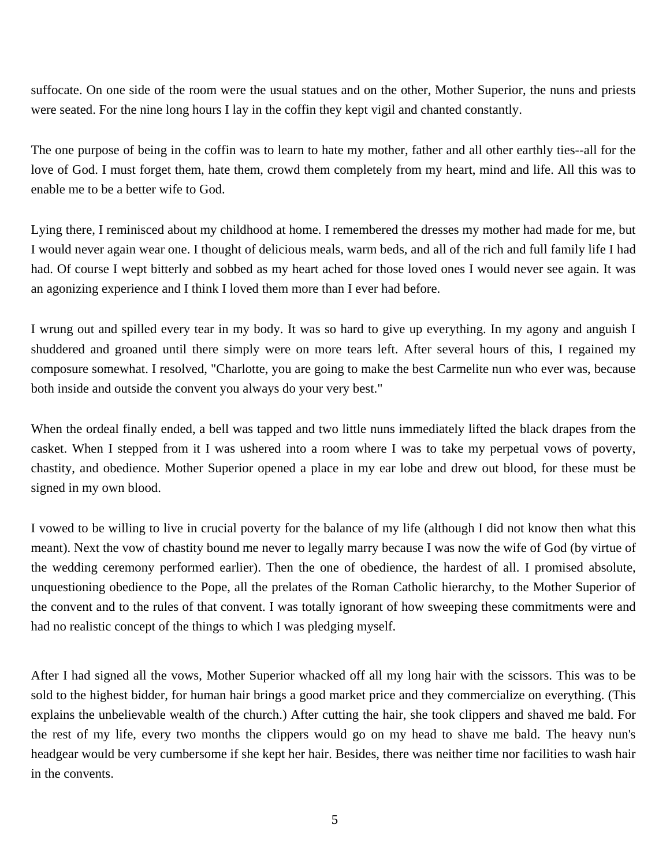suffocate. On one side of the room were the usual statues and on the other, Mother Superior, the nuns and priests were seated. For the nine long hours I lay in the coffin they kept vigil and chanted constantly.

The one purpose of being in the coffin was to learn to hate my mother, father and all other earthly ties--all for the love of God. I must forget them, hate them, crowd them completely from my heart, mind and life. All this was to enable me to be a better wife to God.

Lying there, I reminisced about my childhood at home. I remembered the dresses my mother had made for me, but I would never again wear one. I thought of delicious meals, warm beds, and all of the rich and full family life I had had. Of course I wept bitterly and sobbed as my heart ached for those loved ones I would never see again. It was an agonizing experience and I think I loved them more than I ever had before.

I wrung out and spilled every tear in my body. It was so hard to give up everything. In my agony and anguish I shuddered and groaned until there simply were on more tears left. After several hours of this, I regained my composure somewhat. I resolved, "Charlotte, you are going to make the best Carmelite nun who ever was, because both inside and outside the convent you always do your very best."

When the ordeal finally ended, a bell was tapped and two little nuns immediately lifted the black drapes from the casket. When I stepped from it I was ushered into a room where I was to take my perpetual vows of poverty, chastity, and obedience. Mother Superior opened a place in my ear lobe and drew out blood, for these must be signed in my own blood.

I vowed to be willing to live in crucial poverty for the balance of my life (although I did not know then what this meant). Next the vow of chastity bound me never to legally marry because I was now the wife of God (by virtue of the wedding ceremony performed earlier). Then the one of obedience, the hardest of all. I promised absolute, unquestioning obedience to the Pope, all the prelates of the Roman Catholic hierarchy, to the Mother Superior of the convent and to the rules of that convent. I was totally ignorant of how sweeping these commitments were and had no realistic concept of the things to which I was pledging myself.

After I had signed all the vows, Mother Superior whacked off all my long hair with the scissors. This was to be sold to the highest bidder, for human hair brings a good market price and they commercialize on everything. (This explains the unbelievable wealth of the church.) After cutting the hair, she took clippers and shaved me bald. For the rest of my life, every two months the clippers would go on my head to shave me bald. The heavy nun's headgear would be very cumbersome if she kept her hair. Besides, there was neither time nor facilities to wash hair in the convents.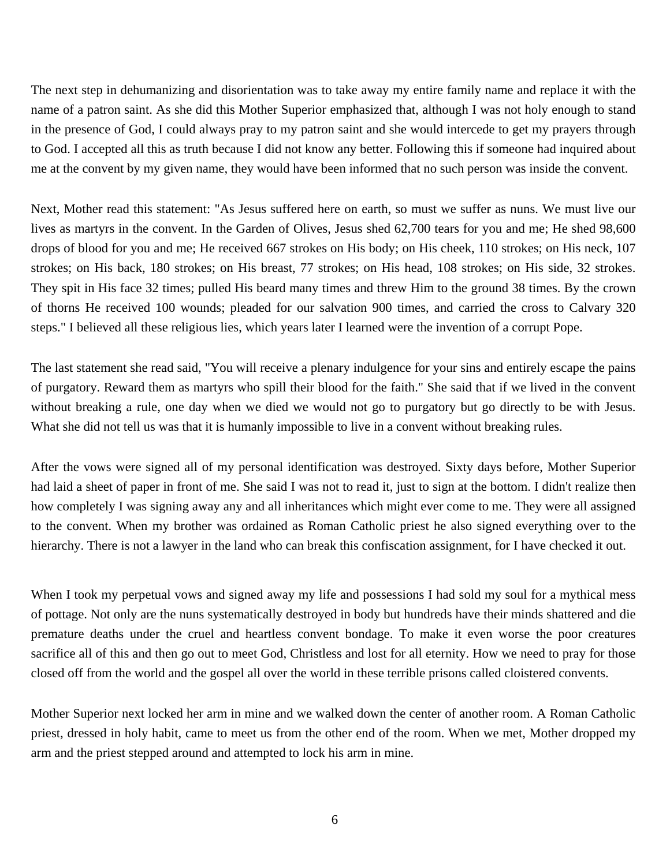The next step in dehumanizing and disorientation was to take away my entire family name and replace it with the name of a patron saint. As she did this Mother Superior emphasized that, although I was not holy enough to stand in the presence of God, I could always pray to my patron saint and she would intercede to get my prayers through to God. I accepted all this as truth because I did not know any better. Following this if someone had inquired about me at the convent by my given name, they would have been informed that no such person was inside the convent.

Next, Mother read this statement: "As Jesus suffered here on earth, so must we suffer as nuns. We must live our lives as martyrs in the convent. In the Garden of Olives, Jesus shed 62,700 tears for you and me; He shed 98,600 drops of blood for you and me; He received 667 strokes on His body; on His cheek, 110 strokes; on His neck, 107 strokes; on His back, 180 strokes; on His breast, 77 strokes; on His head, 108 strokes; on His side, 32 strokes. They spit in His face 32 times; pulled His beard many times and threw Him to the ground 38 times. By the crown of thorns He received 100 wounds; pleaded for our salvation 900 times, and carried the cross to Calvary 320 steps." I believed all these religious lies, which years later I learned were the invention of a corrupt Pope.

The last statement she read said, "You will receive a plenary indulgence for your sins and entirely escape the pains of purgatory. Reward them as martyrs who spill their blood for the faith." She said that if we lived in the convent without breaking a rule, one day when we died we would not go to purgatory but go directly to be with Jesus. What she did not tell us was that it is humanly impossible to live in a convent without breaking rules.

After the vows were signed all of my personal identification was destroyed. Sixty days before, Mother Superior had laid a sheet of paper in front of me. She said I was not to read it, just to sign at the bottom. I didn't realize then how completely I was signing away any and all inheritances which might ever come to me. They were all assigned to the convent. When my brother was ordained as Roman Catholic priest he also signed everything over to the hierarchy. There is not a lawyer in the land who can break this confiscation assignment, for I have checked it out.

When I took my perpetual vows and signed away my life and possessions I had sold my soul for a mythical mess of pottage. Not only are the nuns systematically destroyed in body but hundreds have their minds shattered and die premature deaths under the cruel and heartless convent bondage. To make it even worse the poor creatures sacrifice all of this and then go out to meet God, Christless and lost for all eternity. How we need to pray for those closed off from the world and the gospel all over the world in these terrible prisons called cloistered convents.

Mother Superior next locked her arm in mine and we walked down the center of another room. A Roman Catholic priest, dressed in holy habit, came to meet us from the other end of the room. When we met, Mother dropped my arm and the priest stepped around and attempted to lock his arm in mine.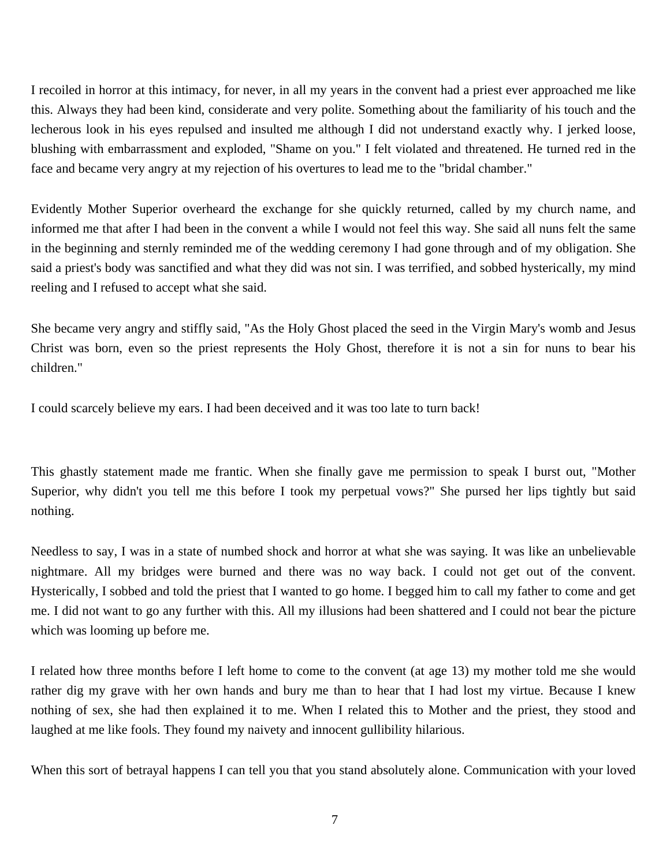I recoiled in horror at this intimacy, for never, in all my years in the convent had a priest ever approached me like this. Always they had been kind, considerate and very polite. Something about the familiarity of his touch and the lecherous look in his eyes repulsed and insulted me although I did not understand exactly why. I jerked loose, blushing with embarrassment and exploded, "Shame on you." I felt violated and threatened. He turned red in the face and became very angry at my rejection of his overtures to lead me to the "bridal chamber."

Evidently Mother Superior overheard the exchange for she quickly returned, called by my church name, and informed me that after I had been in the convent a while I would not feel this way. She said all nuns felt the same in the beginning and sternly reminded me of the wedding ceremony I had gone through and of my obligation. She said a priest's body was sanctified and what they did was not sin. I was terrified, and sobbed hysterically, my mind reeling and I refused to accept what she said.

She became very angry and stiffly said, "As the Holy Ghost placed the seed in the Virgin Mary's womb and Jesus Christ was born, even so the priest represents the Holy Ghost, therefore it is not a sin for nuns to bear his children."

I could scarcely believe my ears. I had been deceived and it was too late to turn back!

This ghastly statement made me frantic. When she finally gave me permission to speak I burst out, "Mother Superior, why didn't you tell me this before I took my perpetual vows?" She pursed her lips tightly but said nothing.

Needless to say, I was in a state of numbed shock and horror at what she was saying. It was like an unbelievable nightmare. All my bridges were burned and there was no way back. I could not get out of the convent. Hysterically, I sobbed and told the priest that I wanted to go home. I begged him to call my father to come and get me. I did not want to go any further with this. All my illusions had been shattered and I could not bear the picture which was looming up before me.

I related how three months before I left home to come to the convent (at age 13) my mother told me she would rather dig my grave with her own hands and bury me than to hear that I had lost my virtue. Because I knew nothing of sex, she had then explained it to me. When I related this to Mother and the priest, they stood and laughed at me like fools. They found my naivety and innocent gullibility hilarious.

When this sort of betrayal happens I can tell you that you stand absolutely alone. Communication with your loved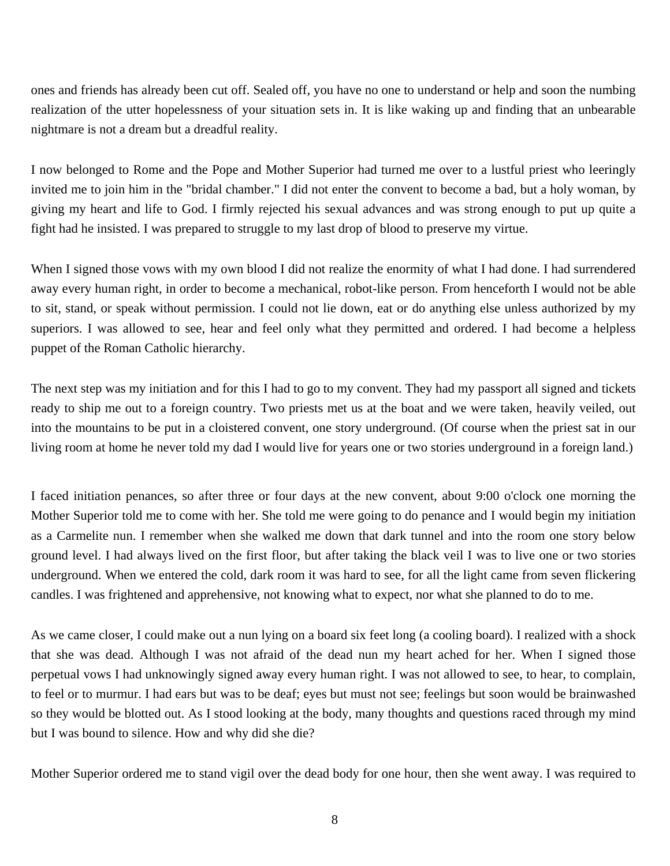ones and friends has already been cut off. Sealed off, you have no one to understand or help and soon the numbing realization of the utter hopelessness of your situation sets in. It is like waking up and finding that an unbearable nightmare is not a dream but a dreadful reality.

I now belonged to Rome and the Pope and Mother Superior had turned me over to a lustful priest who leeringly invited me to join him in the "bridal chamber." I did not enter the convent to become a bad, but a holy woman, by giving my heart and life to God. I firmly rejected his sexual advances and was strong enough to put up quite a fight had he insisted. I was prepared to struggle to my last drop of blood to preserve my virtue.

When I signed those vows with my own blood I did not realize the enormity of what I had done. I had surrendered away every human right, in order to become a mechanical, robot-like person. From henceforth I would not be able to sit, stand, or speak without permission. I could not lie down, eat or do anything else unless authorized by my superiors. I was allowed to see, hear and feel only what they permitted and ordered. I had become a helpless puppet of the Roman Catholic hierarchy.

The next step was my initiation and for this I had to go to my convent. They had my passport all signed and tickets ready to ship me out to a foreign country. Two priests met us at the boat and we were taken, heavily veiled, out into the mountains to be put in a cloistered convent, one story underground. (Of course when the priest sat in our living room at home he never told my dad I would live for years one or two stories underground in a foreign land.)

I faced initiation penances, so after three or four days at the new convent, about 9:00 o'clock one morning the Mother Superior told me to come with her. She told me were going to do penance and I would begin my initiation as a Carmelite nun. I remember when she walked me down that dark tunnel and into the room one story below ground level. I had always lived on the first floor, but after taking the black veil I was to live one or two stories underground. When we entered the cold, dark room it was hard to see, for all the light came from seven flickering candles. I was frightened and apprehensive, not knowing what to expect, nor what she planned to do to me.

As we came closer, I could make out a nun lying on a board six feet long (a cooling board). I realized with a shock that she was dead. Although I was not afraid of the dead nun my heart ached for her. When I signed those perpetual vows I had unknowingly signed away every human right. I was not allowed to see, to hear, to complain, to feel or to murmur. I had ears but was to be deaf; eyes but must not see; feelings but soon would be brainwashed so they would be blotted out. As I stood looking at the body, many thoughts and questions raced through my mind but I was bound to silence. How and why did she die?

Mother Superior ordered me to stand vigil over the dead body for one hour, then she went away. I was required to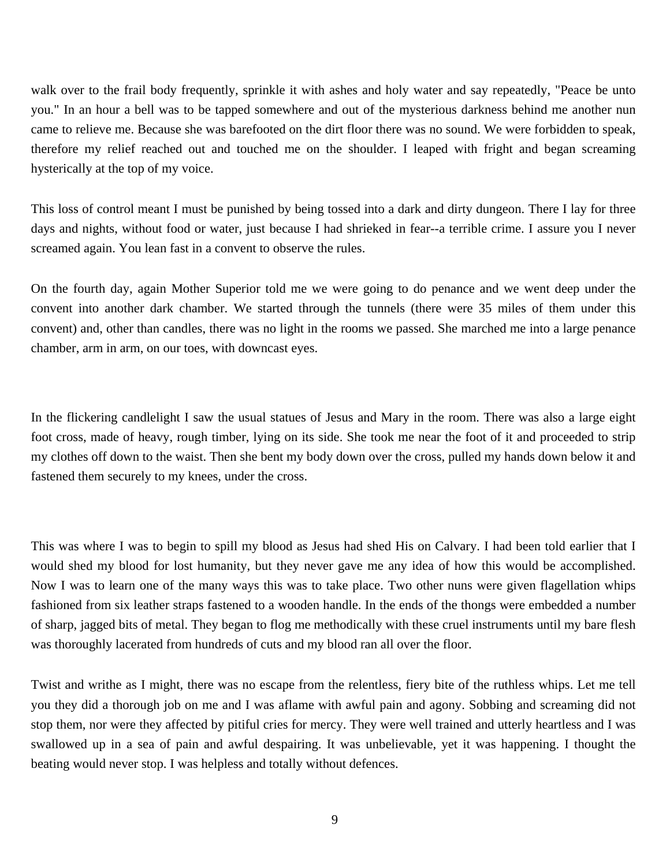walk over to the frail body frequently, sprinkle it with ashes and holy water and say repeatedly, "Peace be unto you." In an hour a bell was to be tapped somewhere and out of the mysterious darkness behind me another nun came to relieve me. Because she was barefooted on the dirt floor there was no sound. We were forbidden to speak, therefore my relief reached out and touched me on the shoulder. I leaped with fright and began screaming hysterically at the top of my voice.

This loss of control meant I must be punished by being tossed into a dark and dirty dungeon. There I lay for three days and nights, without food or water, just because I had shrieked in fear--a terrible crime. I assure you I never screamed again. You lean fast in a convent to observe the rules.

On the fourth day, again Mother Superior told me we were going to do penance and we went deep under the convent into another dark chamber. We started through the tunnels (there were 35 miles of them under this convent) and, other than candles, there was no light in the rooms we passed. She marched me into a large penance chamber, arm in arm, on our toes, with downcast eyes.

In the flickering candlelight I saw the usual statues of Jesus and Mary in the room. There was also a large eight foot cross, made of heavy, rough timber, lying on its side. She took me near the foot of it and proceeded to strip my clothes off down to the waist. Then she bent my body down over the cross, pulled my hands down below it and fastened them securely to my knees, under the cross.

This was where I was to begin to spill my blood as Jesus had shed His on Calvary. I had been told earlier that I would shed my blood for lost humanity, but they never gave me any idea of how this would be accomplished. Now I was to learn one of the many ways this was to take place. Two other nuns were given flagellation whips fashioned from six leather straps fastened to a wooden handle. In the ends of the thongs were embedded a number of sharp, jagged bits of metal. They began to flog me methodically with these cruel instruments until my bare flesh was thoroughly lacerated from hundreds of cuts and my blood ran all over the floor.

Twist and writhe as I might, there was no escape from the relentless, fiery bite of the ruthless whips. Let me tell you they did a thorough job on me and I was aflame with awful pain and agony. Sobbing and screaming did not stop them, nor were they affected by pitiful cries for mercy. They were well trained and utterly heartless and I was swallowed up in a sea of pain and awful despairing. It was unbelievable, yet it was happening. I thought the beating would never stop. I was helpless and totally without defences.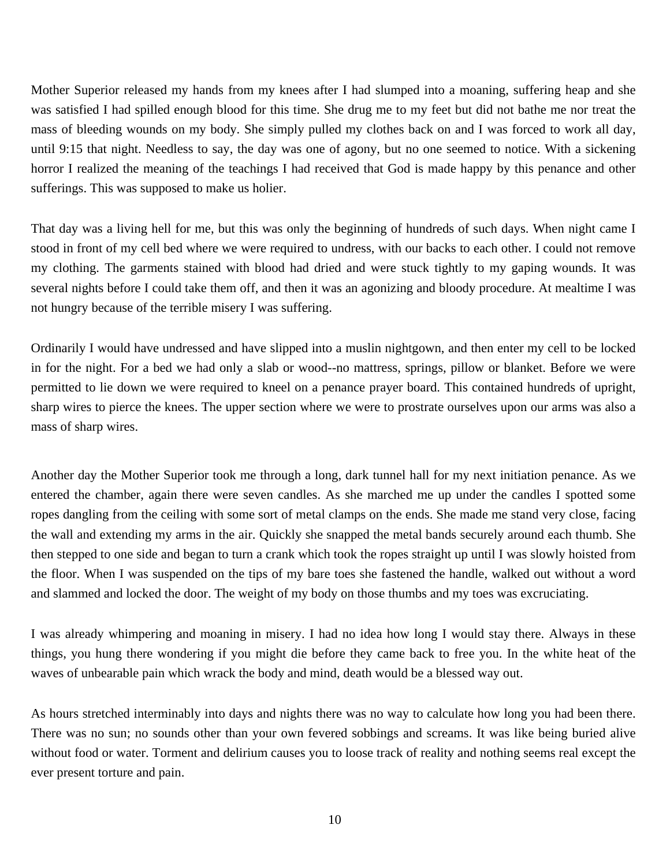Mother Superior released my hands from my knees after I had slumped into a moaning, suffering heap and she was satisfied I had spilled enough blood for this time. She drug me to my feet but did not bathe me nor treat the mass of bleeding wounds on my body. She simply pulled my clothes back on and I was forced to work all day, until 9:15 that night. Needless to say, the day was one of agony, but no one seemed to notice. With a sickening horror I realized the meaning of the teachings I had received that God is made happy by this penance and other sufferings. This was supposed to make us holier.

That day was a living hell for me, but this was only the beginning of hundreds of such days. When night came I stood in front of my cell bed where we were required to undress, with our backs to each other. I could not remove my clothing. The garments stained with blood had dried and were stuck tightly to my gaping wounds. It was several nights before I could take them off, and then it was an agonizing and bloody procedure. At mealtime I was not hungry because of the terrible misery I was suffering.

Ordinarily I would have undressed and have slipped into a muslin nightgown, and then enter my cell to be locked in for the night. For a bed we had only a slab or wood--no mattress, springs, pillow or blanket. Before we were permitted to lie down we were required to kneel on a penance prayer board. This contained hundreds of upright, sharp wires to pierce the knees. The upper section where we were to prostrate ourselves upon our arms was also a mass of sharp wires.

Another day the Mother Superior took me through a long, dark tunnel hall for my next initiation penance. As we entered the chamber, again there were seven candles. As she marched me up under the candles I spotted some ropes dangling from the ceiling with some sort of metal clamps on the ends. She made me stand very close, facing the wall and extending my arms in the air. Quickly she snapped the metal bands securely around each thumb. She then stepped to one side and began to turn a crank which took the ropes straight up until I was slowly hoisted from the floor. When I was suspended on the tips of my bare toes she fastened the handle, walked out without a word and slammed and locked the door. The weight of my body on those thumbs and my toes was excruciating.

I was already whimpering and moaning in misery. I had no idea how long I would stay there. Always in these things, you hung there wondering if you might die before they came back to free you. In the white heat of the waves of unbearable pain which wrack the body and mind, death would be a blessed way out.

As hours stretched interminably into days and nights there was no way to calculate how long you had been there. There was no sun; no sounds other than your own fevered sobbings and screams. It was like being buried alive without food or water. Torment and delirium causes you to loose track of reality and nothing seems real except the ever present torture and pain.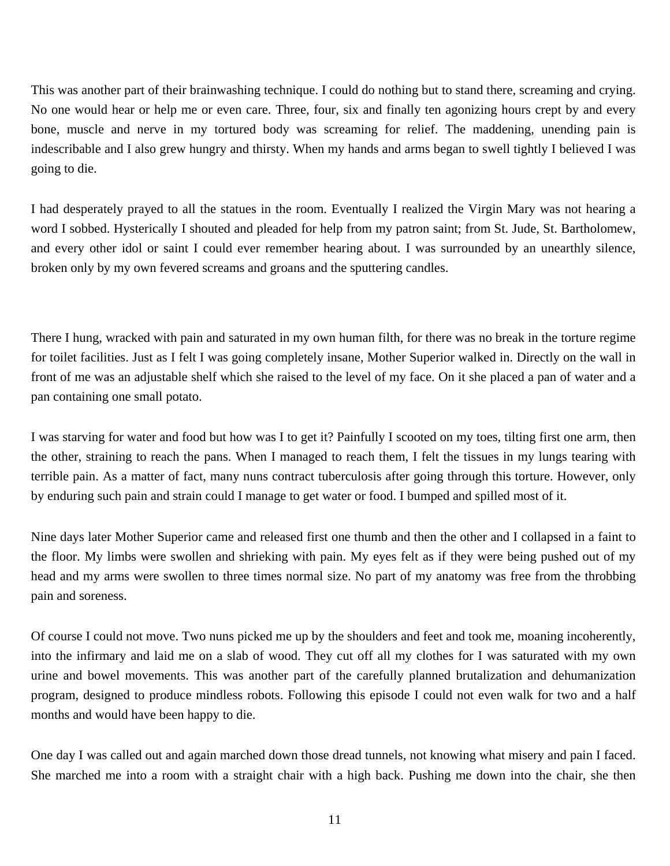This was another part of their brainwashing technique. I could do nothing but to stand there, screaming and crying. No one would hear or help me or even care. Three, four, six and finally ten agonizing hours crept by and every bone, muscle and nerve in my tortured body was screaming for relief. The maddening, unending pain is indescribable and I also grew hungry and thirsty. When my hands and arms began to swell tightly I believed I was going to die.

I had desperately prayed to all the statues in the room. Eventually I realized the Virgin Mary was not hearing a word I sobbed. Hysterically I shouted and pleaded for help from my patron saint; from St. Jude, St. Bartholomew, and every other idol or saint I could ever remember hearing about. I was surrounded by an unearthly silence, broken only by my own fevered screams and groans and the sputtering candles.

There I hung, wracked with pain and saturated in my own human filth, for there was no break in the torture regime for toilet facilities. Just as I felt I was going completely insane, Mother Superior walked in. Directly on the wall in front of me was an adjustable shelf which she raised to the level of my face. On it she placed a pan of water and a pan containing one small potato.

I was starving for water and food but how was I to get it? Painfully I scooted on my toes, tilting first one arm, then the other, straining to reach the pans. When I managed to reach them, I felt the tissues in my lungs tearing with terrible pain. As a matter of fact, many nuns contract tuberculosis after going through this torture. However, only by enduring such pain and strain could I manage to get water or food. I bumped and spilled most of it.

Nine days later Mother Superior came and released first one thumb and then the other and I collapsed in a faint to the floor. My limbs were swollen and shrieking with pain. My eyes felt as if they were being pushed out of my head and my arms were swollen to three times normal size. No part of my anatomy was free from the throbbing pain and soreness.

Of course I could not move. Two nuns picked me up by the shoulders and feet and took me, moaning incoherently, into the infirmary and laid me on a slab of wood. They cut off all my clothes for I was saturated with my own urine and bowel movements. This was another part of the carefully planned brutalization and dehumanization program, designed to produce mindless robots. Following this episode I could not even walk for two and a half months and would have been happy to die.

One day I was called out and again marched down those dread tunnels, not knowing what misery and pain I faced. She marched me into a room with a straight chair with a high back. Pushing me down into the chair, she then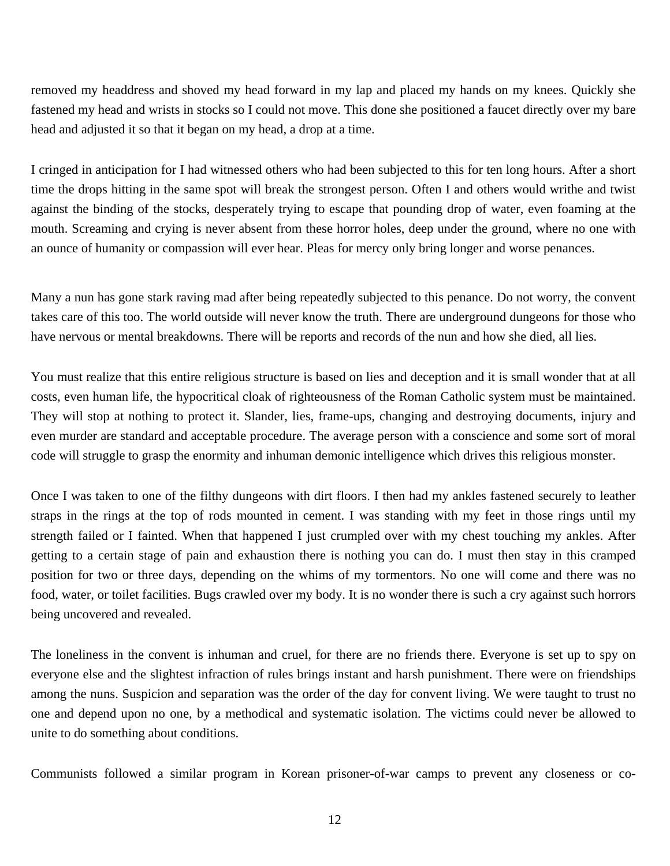removed my headdress and shoved my head forward in my lap and placed my hands on my knees. Quickly she fastened my head and wrists in stocks so I could not move. This done she positioned a faucet directly over my bare head and adjusted it so that it began on my head, a drop at a time.

I cringed in anticipation for I had witnessed others who had been subjected to this for ten long hours. After a short time the drops hitting in the same spot will break the strongest person. Often I and others would writhe and twist against the binding of the stocks, desperately trying to escape that pounding drop of water, even foaming at the mouth. Screaming and crying is never absent from these horror holes, deep under the ground, where no one with an ounce of humanity or compassion will ever hear. Pleas for mercy only bring longer and worse penances.

Many a nun has gone stark raving mad after being repeatedly subjected to this penance. Do not worry, the convent takes care of this too. The world outside will never know the truth. There are underground dungeons for those who have nervous or mental breakdowns. There will be reports and records of the nun and how she died, all lies.

You must realize that this entire religious structure is based on lies and deception and it is small wonder that at all costs, even human life, the hypocritical cloak of righteousness of the Roman Catholic system must be maintained. They will stop at nothing to protect it. Slander, lies, frame-ups, changing and destroying documents, injury and even murder are standard and acceptable procedure. The average person with a conscience and some sort of moral code will struggle to grasp the enormity and inhuman demonic intelligence which drives this religious monster.

Once I was taken to one of the filthy dungeons with dirt floors. I then had my ankles fastened securely to leather straps in the rings at the top of rods mounted in cement. I was standing with my feet in those rings until my strength failed or I fainted. When that happened I just crumpled over with my chest touching my ankles. After getting to a certain stage of pain and exhaustion there is nothing you can do. I must then stay in this cramped position for two or three days, depending on the whims of my tormentors. No one will come and there was no food, water, or toilet facilities. Bugs crawled over my body. It is no wonder there is such a cry against such horrors being uncovered and revealed.

The loneliness in the convent is inhuman and cruel, for there are no friends there. Everyone is set up to spy on everyone else and the slightest infraction of rules brings instant and harsh punishment. There were on friendships among the nuns. Suspicion and separation was the order of the day for convent living. We were taught to trust no one and depend upon no one, by a methodical and systematic isolation. The victims could never be allowed to unite to do something about conditions.

Communists followed a similar program in Korean prisoner-of-war camps to prevent any closeness or co-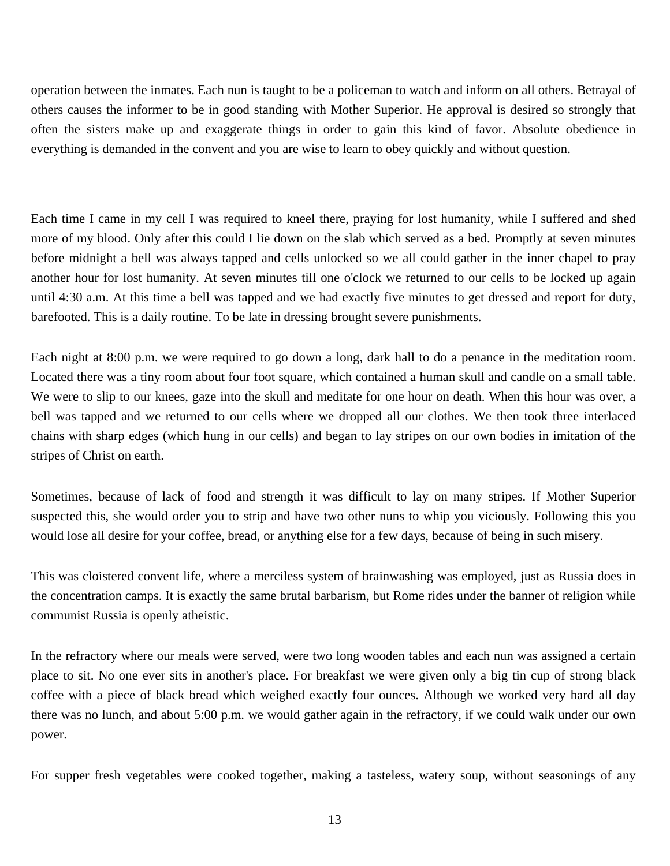operation between the inmates. Each nun is taught to be a policeman to watch and inform on all others. Betrayal of others causes the informer to be in good standing with Mother Superior. He approval is desired so strongly that often the sisters make up and exaggerate things in order to gain this kind of favor. Absolute obedience in everything is demanded in the convent and you are wise to learn to obey quickly and without question.

Each time I came in my cell I was required to kneel there, praying for lost humanity, while I suffered and shed more of my blood. Only after this could I lie down on the slab which served as a bed. Promptly at seven minutes before midnight a bell was always tapped and cells unlocked so we all could gather in the inner chapel to pray another hour for lost humanity. At seven minutes till one o'clock we returned to our cells to be locked up again until 4:30 a.m. At this time a bell was tapped and we had exactly five minutes to get dressed and report for duty, barefooted. This is a daily routine. To be late in dressing brought severe punishments.

Each night at 8:00 p.m. we were required to go down a long, dark hall to do a penance in the meditation room. Located there was a tiny room about four foot square, which contained a human skull and candle on a small table. We were to slip to our knees, gaze into the skull and meditate for one hour on death. When this hour was over, a bell was tapped and we returned to our cells where we dropped all our clothes. We then took three interlaced chains with sharp edges (which hung in our cells) and began to lay stripes on our own bodies in imitation of the stripes of Christ on earth.

Sometimes, because of lack of food and strength it was difficult to lay on many stripes. If Mother Superior suspected this, she would order you to strip and have two other nuns to whip you viciously. Following this you would lose all desire for your coffee, bread, or anything else for a few days, because of being in such misery.

This was cloistered convent life, where a merciless system of brainwashing was employed, just as Russia does in the concentration camps. It is exactly the same brutal barbarism, but Rome rides under the banner of religion while communist Russia is openly atheistic.

In the refractory where our meals were served, were two long wooden tables and each nun was assigned a certain place to sit. No one ever sits in another's place. For breakfast we were given only a big tin cup of strong black coffee with a piece of black bread which weighed exactly four ounces. Although we worked very hard all day there was no lunch, and about 5:00 p.m. we would gather again in the refractory, if we could walk under our own power.

For supper fresh vegetables were cooked together, making a tasteless, watery soup, without seasonings of any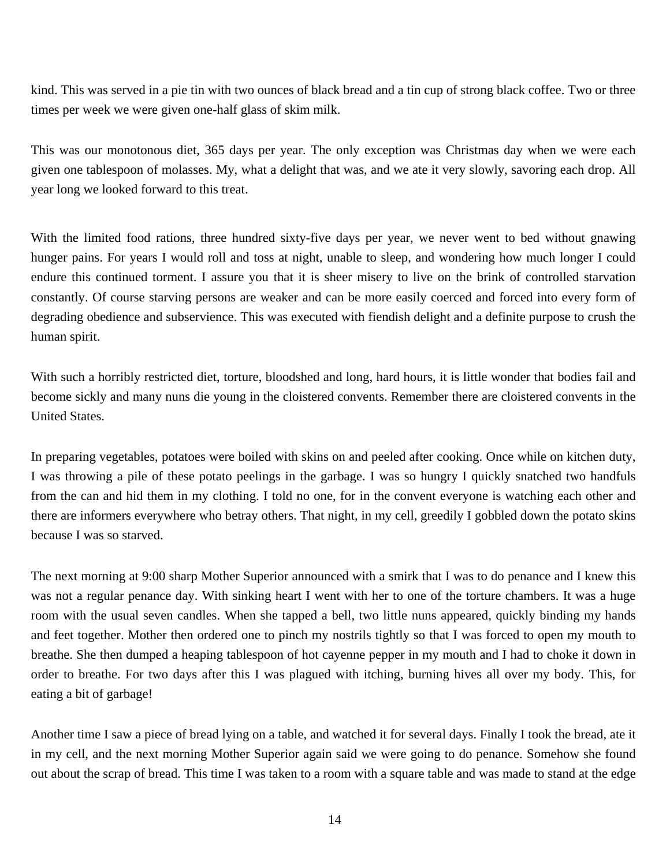kind. This was served in a pie tin with two ounces of black bread and a tin cup of strong black coffee. Two or three times per week we were given one-half glass of skim milk.

This was our monotonous diet, 365 days per year. The only exception was Christmas day when we were each given one tablespoon of molasses. My, what a delight that was, and we ate it very slowly, savoring each drop. All year long we looked forward to this treat.

With the limited food rations, three hundred sixty-five days per year, we never went to bed without gnawing hunger pains. For years I would roll and toss at night, unable to sleep, and wondering how much longer I could endure this continued torment. I assure you that it is sheer misery to live on the brink of controlled starvation constantly. Of course starving persons are weaker and can be more easily coerced and forced into every form of degrading obedience and subservience. This was executed with fiendish delight and a definite purpose to crush the human spirit.

With such a horribly restricted diet, torture, bloodshed and long, hard hours, it is little wonder that bodies fail and become sickly and many nuns die young in the cloistered convents. Remember there are cloistered convents in the United States.

In preparing vegetables, potatoes were boiled with skins on and peeled after cooking. Once while on kitchen duty, I was throwing a pile of these potato peelings in the garbage. I was so hungry I quickly snatched two handfuls from the can and hid them in my clothing. I told no one, for in the convent everyone is watching each other and there are informers everywhere who betray others. That night, in my cell, greedily I gobbled down the potato skins because I was so starved.

The next morning at 9:00 sharp Mother Superior announced with a smirk that I was to do penance and I knew this was not a regular penance day. With sinking heart I went with her to one of the torture chambers. It was a huge room with the usual seven candles. When she tapped a bell, two little nuns appeared, quickly binding my hands and feet together. Mother then ordered one to pinch my nostrils tightly so that I was forced to open my mouth to breathe. She then dumped a heaping tablespoon of hot cayenne pepper in my mouth and I had to choke it down in order to breathe. For two days after this I was plagued with itching, burning hives all over my body. This, for eating a bit of garbage!

Another time I saw a piece of bread lying on a table, and watched it for several days. Finally I took the bread, ate it in my cell, and the next morning Mother Superior again said we were going to do penance. Somehow she found out about the scrap of bread. This time I was taken to a room with a square table and was made to stand at the edge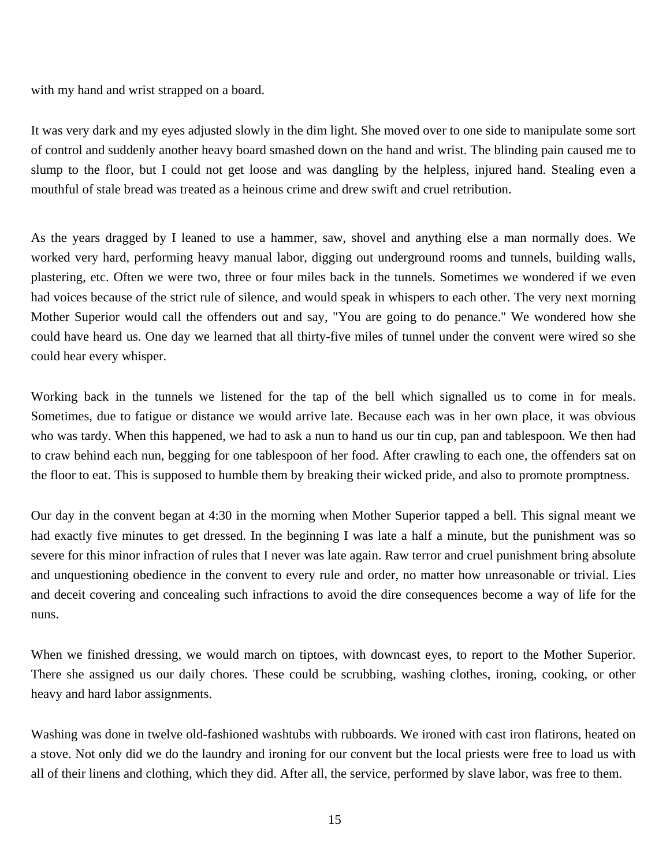with my hand and wrist strapped on a board.

It was very dark and my eyes adjusted slowly in the dim light. She moved over to one side to manipulate some sort of control and suddenly another heavy board smashed down on the hand and wrist. The blinding pain caused me to slump to the floor, but I could not get loose and was dangling by the helpless, injured hand. Stealing even a mouthful of stale bread was treated as a heinous crime and drew swift and cruel retribution.

As the years dragged by I leaned to use a hammer, saw, shovel and anything else a man normally does. We worked very hard, performing heavy manual labor, digging out underground rooms and tunnels, building walls, plastering, etc. Often we were two, three or four miles back in the tunnels. Sometimes we wondered if we even had voices because of the strict rule of silence, and would speak in whispers to each other. The very next morning Mother Superior would call the offenders out and say, "You are going to do penance." We wondered how she could have heard us. One day we learned that all thirty-five miles of tunnel under the convent were wired so she could hear every whisper.

Working back in the tunnels we listened for the tap of the bell which signalled us to come in for meals. Sometimes, due to fatigue or distance we would arrive late. Because each was in her own place, it was obvious who was tardy. When this happened, we had to ask a nun to hand us our tin cup, pan and tablespoon. We then had to craw behind each nun, begging for one tablespoon of her food. After crawling to each one, the offenders sat on the floor to eat. This is supposed to humble them by breaking their wicked pride, and also to promote promptness.

Our day in the convent began at 4:30 in the morning when Mother Superior tapped a bell. This signal meant we had exactly five minutes to get dressed. In the beginning I was late a half a minute, but the punishment was so severe for this minor infraction of rules that I never was late again. Raw terror and cruel punishment bring absolute and unquestioning obedience in the convent to every rule and order, no matter how unreasonable or trivial. Lies and deceit covering and concealing such infractions to avoid the dire consequences become a way of life for the nuns.

When we finished dressing, we would march on tiptoes, with downcast eyes, to report to the Mother Superior. There she assigned us our daily chores. These could be scrubbing, washing clothes, ironing, cooking, or other heavy and hard labor assignments.

Washing was done in twelve old-fashioned washtubs with rubboards. We ironed with cast iron flatirons, heated on a stove. Not only did we do the laundry and ironing for our convent but the local priests were free to load us with all of their linens and clothing, which they did. After all, the service, performed by slave labor, was free to them.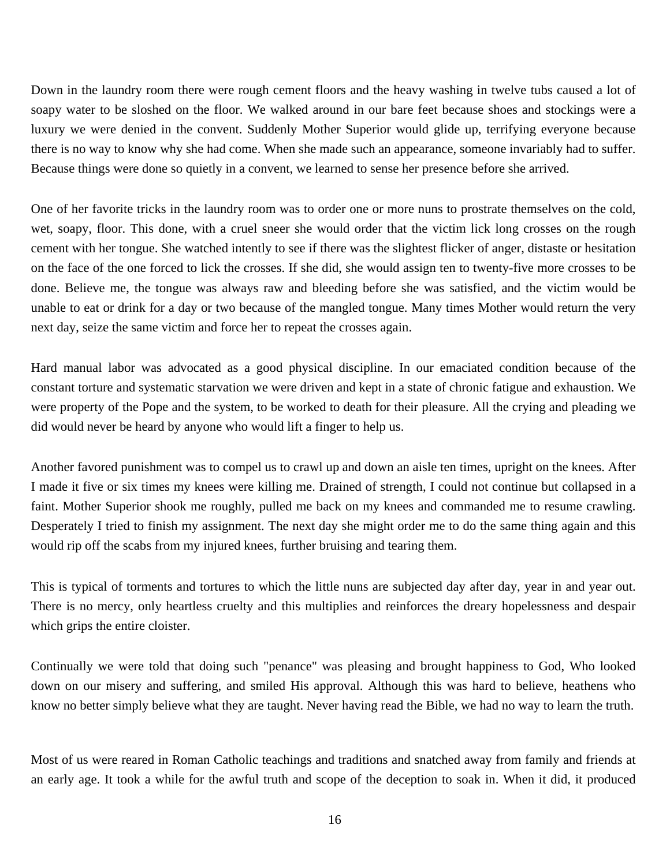Down in the laundry room there were rough cement floors and the heavy washing in twelve tubs caused a lot of soapy water to be sloshed on the floor. We walked around in our bare feet because shoes and stockings were a luxury we were denied in the convent. Suddenly Mother Superior would glide up, terrifying everyone because there is no way to know why she had come. When she made such an appearance, someone invariably had to suffer. Because things were done so quietly in a convent, we learned to sense her presence before she arrived.

One of her favorite tricks in the laundry room was to order one or more nuns to prostrate themselves on the cold, wet, soapy, floor. This done, with a cruel sneer she would order that the victim lick long crosses on the rough cement with her tongue. She watched intently to see if there was the slightest flicker of anger, distaste or hesitation on the face of the one forced to lick the crosses. If she did, she would assign ten to twenty-five more crosses to be done. Believe me, the tongue was always raw and bleeding before she was satisfied, and the victim would be unable to eat or drink for a day or two because of the mangled tongue. Many times Mother would return the very next day, seize the same victim and force her to repeat the crosses again.

Hard manual labor was advocated as a good physical discipline. In our emaciated condition because of the constant torture and systematic starvation we were driven and kept in a state of chronic fatigue and exhaustion. We were property of the Pope and the system, to be worked to death for their pleasure. All the crying and pleading we did would never be heard by anyone who would lift a finger to help us.

Another favored punishment was to compel us to crawl up and down an aisle ten times, upright on the knees. After I made it five or six times my knees were killing me. Drained of strength, I could not continue but collapsed in a faint. Mother Superior shook me roughly, pulled me back on my knees and commanded me to resume crawling. Desperately I tried to finish my assignment. The next day she might order me to do the same thing again and this would rip off the scabs from my injured knees, further bruising and tearing them.

This is typical of torments and tortures to which the little nuns are subjected day after day, year in and year out. There is no mercy, only heartless cruelty and this multiplies and reinforces the dreary hopelessness and despair which grips the entire cloister.

Continually we were told that doing such "penance" was pleasing and brought happiness to God, Who looked down on our misery and suffering, and smiled His approval. Although this was hard to believe, heathens who know no better simply believe what they are taught. Never having read the Bible, we had no way to learn the truth.

Most of us were reared in Roman Catholic teachings and traditions and snatched away from family and friends at an early age. It took a while for the awful truth and scope of the deception to soak in. When it did, it produced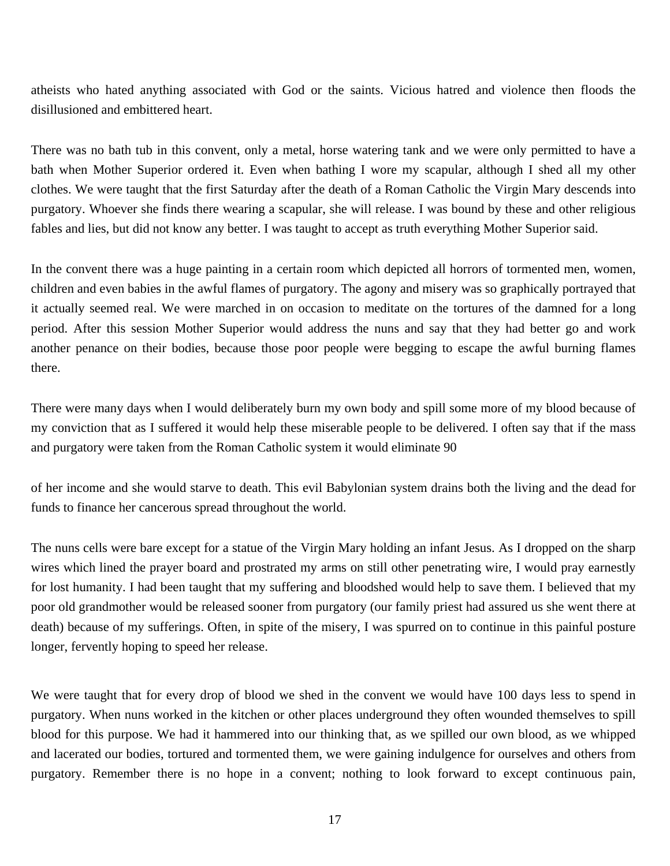atheists who hated anything associated with God or the saints. Vicious hatred and violence then floods the disillusioned and embittered heart.

There was no bath tub in this convent, only a metal, horse watering tank and we were only permitted to have a bath when Mother Superior ordered it. Even when bathing I wore my scapular, although I shed all my other clothes. We were taught that the first Saturday after the death of a Roman Catholic the Virgin Mary descends into purgatory. Whoever she finds there wearing a scapular, she will release. I was bound by these and other religious fables and lies, but did not know any better. I was taught to accept as truth everything Mother Superior said.

In the convent there was a huge painting in a certain room which depicted all horrors of tormented men, women, children and even babies in the awful flames of purgatory. The agony and misery was so graphically portrayed that it actually seemed real. We were marched in on occasion to meditate on the tortures of the damned for a long period. After this session Mother Superior would address the nuns and say that they had better go and work another penance on their bodies, because those poor people were begging to escape the awful burning flames there.

There were many days when I would deliberately burn my own body and spill some more of my blood because of my conviction that as I suffered it would help these miserable people to be delivered. I often say that if the mass and purgatory were taken from the Roman Catholic system it would eliminate 90

of her income and she would starve to death. This evil Babylonian system drains both the living and the dead for funds to finance her cancerous spread throughout the world.

The nuns cells were bare except for a statue of the Virgin Mary holding an infant Jesus. As I dropped on the sharp wires which lined the prayer board and prostrated my arms on still other penetrating wire, I would pray earnestly for lost humanity. I had been taught that my suffering and bloodshed would help to save them. I believed that my poor old grandmother would be released sooner from purgatory (our family priest had assured us she went there at death) because of my sufferings. Often, in spite of the misery, I was spurred on to continue in this painful posture longer, fervently hoping to speed her release.

We were taught that for every drop of blood we shed in the convent we would have 100 days less to spend in purgatory. When nuns worked in the kitchen or other places underground they often wounded themselves to spill blood for this purpose. We had it hammered into our thinking that, as we spilled our own blood, as we whipped and lacerated our bodies, tortured and tormented them, we were gaining indulgence for ourselves and others from purgatory. Remember there is no hope in a convent; nothing to look forward to except continuous pain,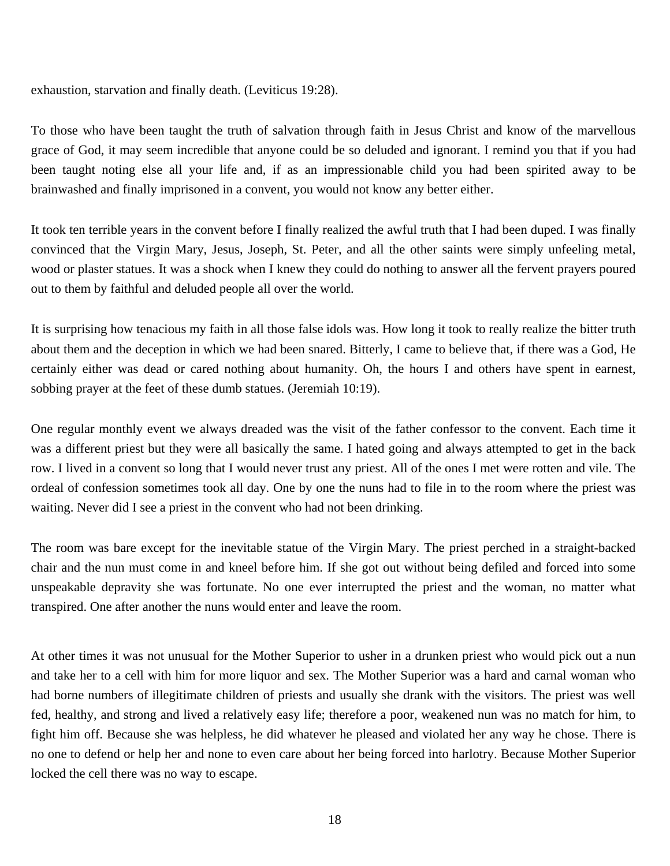exhaustion, starvation and finally death. (Leviticus 19:28).

To those who have been taught the truth of salvation through faith in Jesus Christ and know of the marvellous grace of God, it may seem incredible that anyone could be so deluded and ignorant. I remind you that if you had been taught noting else all your life and, if as an impressionable child you had been spirited away to be brainwashed and finally imprisoned in a convent, you would not know any better either.

It took ten terrible years in the convent before I finally realized the awful truth that I had been duped. I was finally convinced that the Virgin Mary, Jesus, Joseph, St. Peter, and all the other saints were simply unfeeling metal, wood or plaster statues. It was a shock when I knew they could do nothing to answer all the fervent prayers poured out to them by faithful and deluded people all over the world.

It is surprising how tenacious my faith in all those false idols was. How long it took to really realize the bitter truth about them and the deception in which we had been snared. Bitterly, I came to believe that, if there was a God, He certainly either was dead or cared nothing about humanity. Oh, the hours I and others have spent in earnest, sobbing prayer at the feet of these dumb statues. (Jeremiah 10:19).

One regular monthly event we always dreaded was the visit of the father confessor to the convent. Each time it was a different priest but they were all basically the same. I hated going and always attempted to get in the back row. I lived in a convent so long that I would never trust any priest. All of the ones I met were rotten and vile. The ordeal of confession sometimes took all day. One by one the nuns had to file in to the room where the priest was waiting. Never did I see a priest in the convent who had not been drinking.

The room was bare except for the inevitable statue of the Virgin Mary. The priest perched in a straight-backed chair and the nun must come in and kneel before him. If she got out without being defiled and forced into some unspeakable depravity she was fortunate. No one ever interrupted the priest and the woman, no matter what transpired. One after another the nuns would enter and leave the room.

At other times it was not unusual for the Mother Superior to usher in a drunken priest who would pick out a nun and take her to a cell with him for more liquor and sex. The Mother Superior was a hard and carnal woman who had borne numbers of illegitimate children of priests and usually she drank with the visitors. The priest was well fed, healthy, and strong and lived a relatively easy life; therefore a poor, weakened nun was no match for him, to fight him off. Because she was helpless, he did whatever he pleased and violated her any way he chose. There is no one to defend or help her and none to even care about her being forced into harlotry. Because Mother Superior locked the cell there was no way to escape.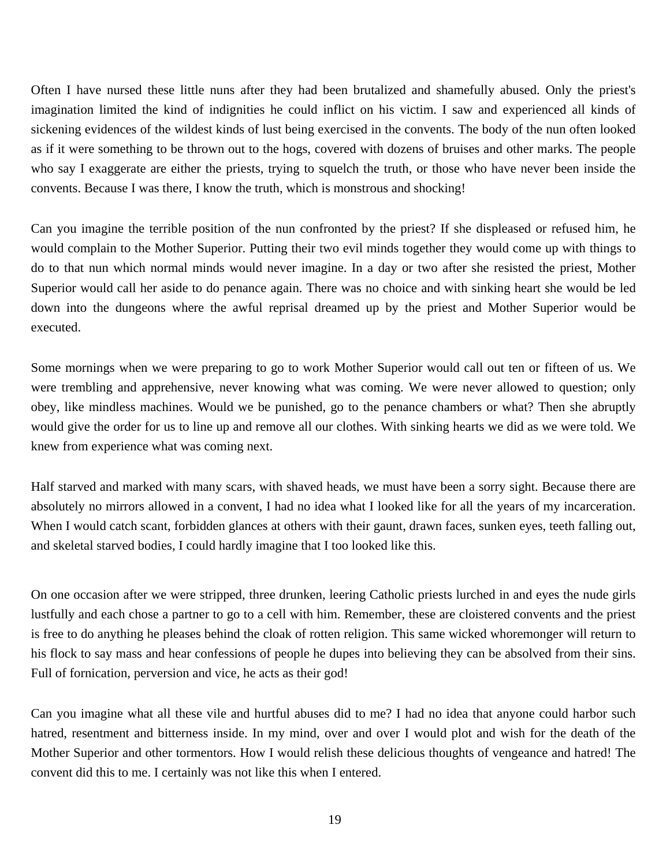Often I have nursed these little nuns after they had been brutalized and shamefully abused. Only the priest's imagination limited the kind of indignities he could inflict on his victim. I saw and experienced all kinds of sickening evidences of the wildest kinds of lust being exercised in the convents. The body of the nun often looked as if it were something to be thrown out to the hogs, covered with dozens of bruises and other marks. The people who say I exaggerate are either the priests, trying to squelch the truth, or those who have never been inside the convents. Because I was there, I know the truth, which is monstrous and shocking!

Can you imagine the terrible position of the nun confronted by the priest? If she displeased or refused him, he would complain to the Mother Superior. Putting their two evil minds together they would come up with things to do to that nun which normal minds would never imagine. In a day or two after she resisted the priest, Mother Superior would call her aside to do penance again. There was no choice and with sinking heart she would be led down into the dungeons where the awful reprisal dreamed up by the priest and Mother Superior would be executed.

Some mornings when we were preparing to go to work Mother Superior would call out ten or fifteen of us. We were trembling and apprehensive, never knowing what was coming. We were never allowed to question; only obey, like mindless machines. Would we be punished, go to the penance chambers or what? Then she abruptly would give the order for us to line up and remove all our clothes. With sinking hearts we did as we were told. We knew from experience what was coming next.

Half starved and marked with many scars, with shaved heads, we must have been a sorry sight. Because there are absolutely no mirrors allowed in a convent, I had no idea what I looked like for all the years of my incarceration. When I would catch scant, forbidden glances at others with their gaunt, drawn faces, sunken eyes, teeth falling out, and skeletal starved bodies, I could hardly imagine that I too looked like this.

On one occasion after we were stripped, three drunken, leering Catholic priests lurched in and eyes the nude girls lustfully and each chose a partner to go to a cell with him. Remember, these are cloistered convents and the priest is free to do anything he pleases behind the cloak of rotten religion. This same wicked whoremonger will return to his flock to say mass and hear confessions of people he dupes into believing they can be absolved from their sins. Full of fornication, perversion and vice, he acts as their god!

Can you imagine what all these vile and hurtful abuses did to me? I had no idea that anyone could harbor such hatred, resentment and bitterness inside. In my mind, over and over I would plot and wish for the death of the Mother Superior and other tormentors. How I would relish these delicious thoughts of vengeance and hatred! The convent did this to me. I certainly was not like this when I entered.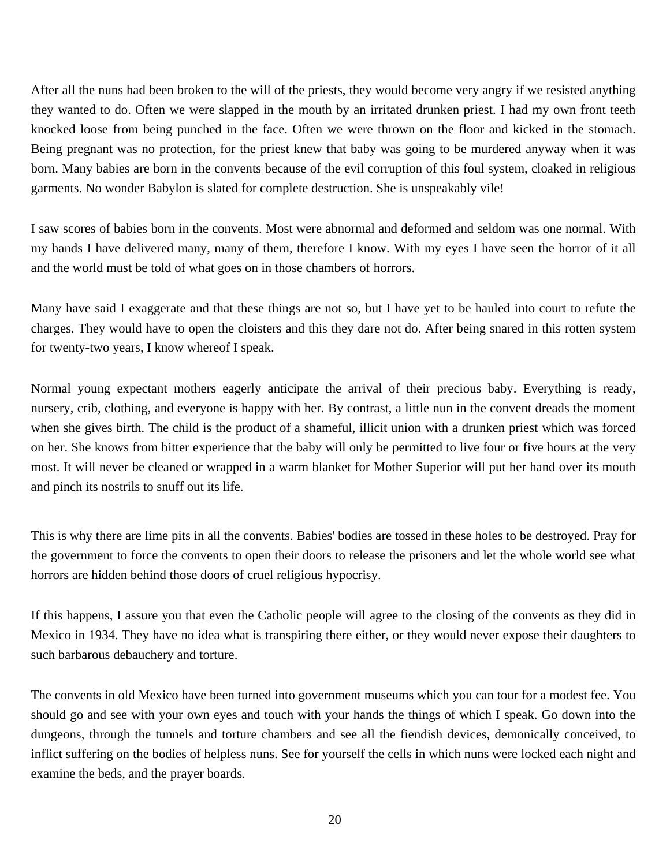After all the nuns had been broken to the will of the priests, they would become very angry if we resisted anything they wanted to do. Often we were slapped in the mouth by an irritated drunken priest. I had my own front teeth knocked loose from being punched in the face. Often we were thrown on the floor and kicked in the stomach. Being pregnant was no protection, for the priest knew that baby was going to be murdered anyway when it was born. Many babies are born in the convents because of the evil corruption of this foul system, cloaked in religious garments. No wonder Babylon is slated for complete destruction. She is unspeakably vile!

I saw scores of babies born in the convents. Most were abnormal and deformed and seldom was one normal. With my hands I have delivered many, many of them, therefore I know. With my eyes I have seen the horror of it all and the world must be told of what goes on in those chambers of horrors.

Many have said I exaggerate and that these things are not so, but I have yet to be hauled into court to refute the charges. They would have to open the cloisters and this they dare not do. After being snared in this rotten system for twenty-two years, I know whereof I speak.

Normal young expectant mothers eagerly anticipate the arrival of their precious baby. Everything is ready, nursery, crib, clothing, and everyone is happy with her. By contrast, a little nun in the convent dreads the moment when she gives birth. The child is the product of a shameful, illicit union with a drunken priest which was forced on her. She knows from bitter experience that the baby will only be permitted to live four or five hours at the very most. It will never be cleaned or wrapped in a warm blanket for Mother Superior will put her hand over its mouth and pinch its nostrils to snuff out its life.

This is why there are lime pits in all the convents. Babies' bodies are tossed in these holes to be destroyed. Pray for the government to force the convents to open their doors to release the prisoners and let the whole world see what horrors are hidden behind those doors of cruel religious hypocrisy.

If this happens, I assure you that even the Catholic people will agree to the closing of the convents as they did in Mexico in 1934. They have no idea what is transpiring there either, or they would never expose their daughters to such barbarous debauchery and torture.

The convents in old Mexico have been turned into government museums which you can tour for a modest fee. You should go and see with your own eyes and touch with your hands the things of which I speak. Go down into the dungeons, through the tunnels and torture chambers and see all the fiendish devices, demonically conceived, to inflict suffering on the bodies of helpless nuns. See for yourself the cells in which nuns were locked each night and examine the beds, and the prayer boards.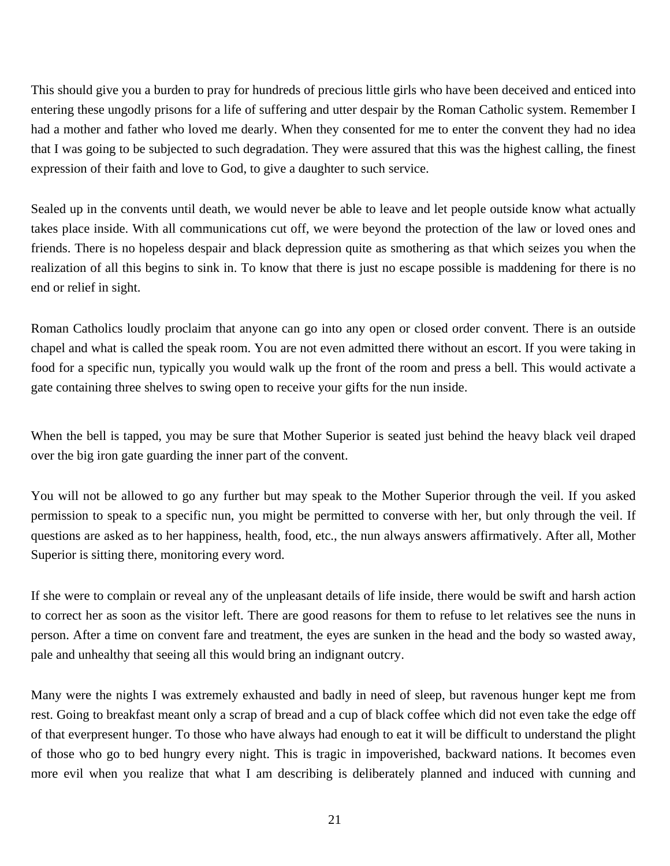This should give you a burden to pray for hundreds of precious little girls who have been deceived and enticed into entering these ungodly prisons for a life of suffering and utter despair by the Roman Catholic system. Remember I had a mother and father who loved me dearly. When they consented for me to enter the convent they had no idea that I was going to be subjected to such degradation. They were assured that this was the highest calling, the finest expression of their faith and love to God, to give a daughter to such service.

Sealed up in the convents until death, we would never be able to leave and let people outside know what actually takes place inside. With all communications cut off, we were beyond the protection of the law or loved ones and friends. There is no hopeless despair and black depression quite as smothering as that which seizes you when the realization of all this begins to sink in. To know that there is just no escape possible is maddening for there is no end or relief in sight.

Roman Catholics loudly proclaim that anyone can go into any open or closed order convent. There is an outside chapel and what is called the speak room. You are not even admitted there without an escort. If you were taking in food for a specific nun, typically you would walk up the front of the room and press a bell. This would activate a gate containing three shelves to swing open to receive your gifts for the nun inside.

When the bell is tapped, you may be sure that Mother Superior is seated just behind the heavy black veil draped over the big iron gate guarding the inner part of the convent.

You will not be allowed to go any further but may speak to the Mother Superior through the veil. If you asked permission to speak to a specific nun, you might be permitted to converse with her, but only through the veil. If questions are asked as to her happiness, health, food, etc., the nun always answers affirmatively. After all, Mother Superior is sitting there, monitoring every word.

If she were to complain or reveal any of the unpleasant details of life inside, there would be swift and harsh action to correct her as soon as the visitor left. There are good reasons for them to refuse to let relatives see the nuns in person. After a time on convent fare and treatment, the eyes are sunken in the head and the body so wasted away, pale and unhealthy that seeing all this would bring an indignant outcry.

Many were the nights I was extremely exhausted and badly in need of sleep, but ravenous hunger kept me from rest. Going to breakfast meant only a scrap of bread and a cup of black coffee which did not even take the edge off of that everpresent hunger. To those who have always had enough to eat it will be difficult to understand the plight of those who go to bed hungry every night. This is tragic in impoverished, backward nations. It becomes even more evil when you realize that what I am describing is deliberately planned and induced with cunning and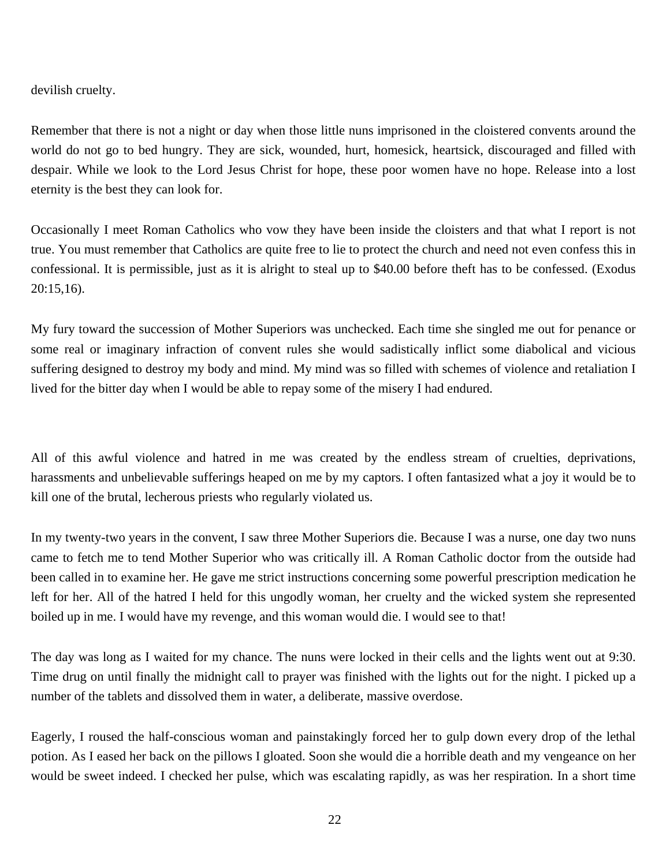devilish cruelty.

Remember that there is not a night or day when those little nuns imprisoned in the cloistered convents around the world do not go to bed hungry. They are sick, wounded, hurt, homesick, heartsick, discouraged and filled with despair. While we look to the Lord Jesus Christ for hope, these poor women have no hope. Release into a lost eternity is the best they can look for.

Occasionally I meet Roman Catholics who vow they have been inside the cloisters and that what I report is not true. You must remember that Catholics are quite free to lie to protect the church and need not even confess this in confessional. It is permissible, just as it is alright to steal up to \$40.00 before theft has to be confessed. (Exodus 20:15,16).

My fury toward the succession of Mother Superiors was unchecked. Each time she singled me out for penance or some real or imaginary infraction of convent rules she would sadistically inflict some diabolical and vicious suffering designed to destroy my body and mind. My mind was so filled with schemes of violence and retaliation I lived for the bitter day when I would be able to repay some of the misery I had endured.

All of this awful violence and hatred in me was created by the endless stream of cruelties, deprivations, harassments and unbelievable sufferings heaped on me by my captors. I often fantasized what a joy it would be to kill one of the brutal, lecherous priests who regularly violated us.

In my twenty-two years in the convent, I saw three Mother Superiors die. Because I was a nurse, one day two nuns came to fetch me to tend Mother Superior who was critically ill. A Roman Catholic doctor from the outside had been called in to examine her. He gave me strict instructions concerning some powerful prescription medication he left for her. All of the hatred I held for this ungodly woman, her cruelty and the wicked system she represented boiled up in me. I would have my revenge, and this woman would die. I would see to that!

The day was long as I waited for my chance. The nuns were locked in their cells and the lights went out at 9:30. Time drug on until finally the midnight call to prayer was finished with the lights out for the night. I picked up a number of the tablets and dissolved them in water, a deliberate, massive overdose.

Eagerly, I roused the half-conscious woman and painstakingly forced her to gulp down every drop of the lethal potion. As I eased her back on the pillows I gloated. Soon she would die a horrible death and my vengeance on her would be sweet indeed. I checked her pulse, which was escalating rapidly, as was her respiration. In a short time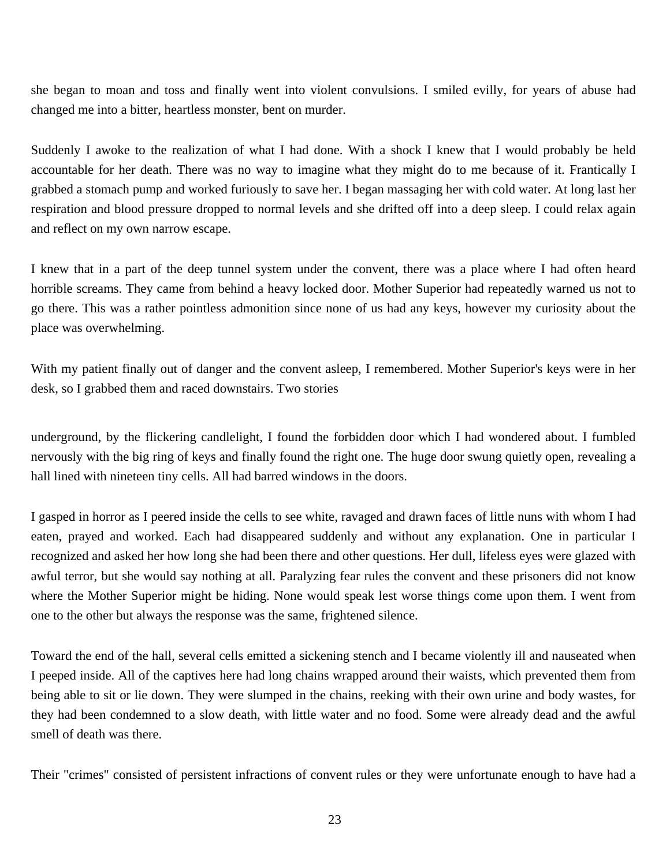she began to moan and toss and finally went into violent convulsions. I smiled evilly, for years of abuse had changed me into a bitter, heartless monster, bent on murder.

Suddenly I awoke to the realization of what I had done. With a shock I knew that I would probably be held accountable for her death. There was no way to imagine what they might do to me because of it. Frantically I grabbed a stomach pump and worked furiously to save her. I began massaging her with cold water. At long last her respiration and blood pressure dropped to normal levels and she drifted off into a deep sleep. I could relax again and reflect on my own narrow escape.

I knew that in a part of the deep tunnel system under the convent, there was a place where I had often heard horrible screams. They came from behind a heavy locked door. Mother Superior had repeatedly warned us not to go there. This was a rather pointless admonition since none of us had any keys, however my curiosity about the place was overwhelming.

With my patient finally out of danger and the convent asleep, I remembered. Mother Superior's keys were in her desk, so I grabbed them and raced downstairs. Two stories

underground, by the flickering candlelight, I found the forbidden door which I had wondered about. I fumbled nervously with the big ring of keys and finally found the right one. The huge door swung quietly open, revealing a hall lined with nineteen tiny cells. All had barred windows in the doors.

I gasped in horror as I peered inside the cells to see white, ravaged and drawn faces of little nuns with whom I had eaten, prayed and worked. Each had disappeared suddenly and without any explanation. One in particular I recognized and asked her how long she had been there and other questions. Her dull, lifeless eyes were glazed with awful terror, but she would say nothing at all. Paralyzing fear rules the convent and these prisoners did not know where the Mother Superior might be hiding. None would speak lest worse things come upon them. I went from one to the other but always the response was the same, frightened silence.

Toward the end of the hall, several cells emitted a sickening stench and I became violently ill and nauseated when I peeped inside. All of the captives here had long chains wrapped around their waists, which prevented them from being able to sit or lie down. They were slumped in the chains, reeking with their own urine and body wastes, for they had been condemned to a slow death, with little water and no food. Some were already dead and the awful smell of death was there.

Their "crimes" consisted of persistent infractions of convent rules or they were unfortunate enough to have had a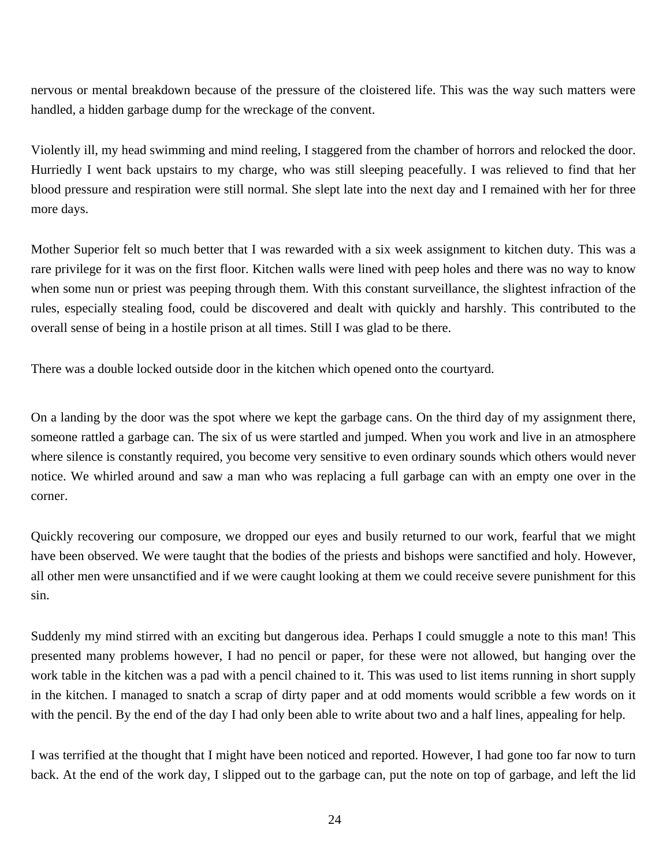nervous or mental breakdown because of the pressure of the cloistered life. This was the way such matters were handled, a hidden garbage dump for the wreckage of the convent.

Violently ill, my head swimming and mind reeling, I staggered from the chamber of horrors and relocked the door. Hurriedly I went back upstairs to my charge, who was still sleeping peacefully. I was relieved to find that her blood pressure and respiration were still normal. She slept late into the next day and I remained with her for three more days.

Mother Superior felt so much better that I was rewarded with a six week assignment to kitchen duty. This was a rare privilege for it was on the first floor. Kitchen walls were lined with peep holes and there was no way to know when some nun or priest was peeping through them. With this constant surveillance, the slightest infraction of the rules, especially stealing food, could be discovered and dealt with quickly and harshly. This contributed to the overall sense of being in a hostile prison at all times. Still I was glad to be there.

There was a double locked outside door in the kitchen which opened onto the courtyard.

On a landing by the door was the spot where we kept the garbage cans. On the third day of my assignment there, someone rattled a garbage can. The six of us were startled and jumped. When you work and live in an atmosphere where silence is constantly required, you become very sensitive to even ordinary sounds which others would never notice. We whirled around and saw a man who was replacing a full garbage can with an empty one over in the corner.

Quickly recovering our composure, we dropped our eyes and busily returned to our work, fearful that we might have been observed. We were taught that the bodies of the priests and bishops were sanctified and holy. However, all other men were unsanctified and if we were caught looking at them we could receive severe punishment for this sin.

Suddenly my mind stirred with an exciting but dangerous idea. Perhaps I could smuggle a note to this man! This presented many problems however, I had no pencil or paper, for these were not allowed, but hanging over the work table in the kitchen was a pad with a pencil chained to it. This was used to list items running in short supply in the kitchen. I managed to snatch a scrap of dirty paper and at odd moments would scribble a few words on it with the pencil. By the end of the day I had only been able to write about two and a half lines, appealing for help.

I was terrified at the thought that I might have been noticed and reported. However, I had gone too far now to turn back. At the end of the work day, I slipped out to the garbage can, put the note on top of garbage, and left the lid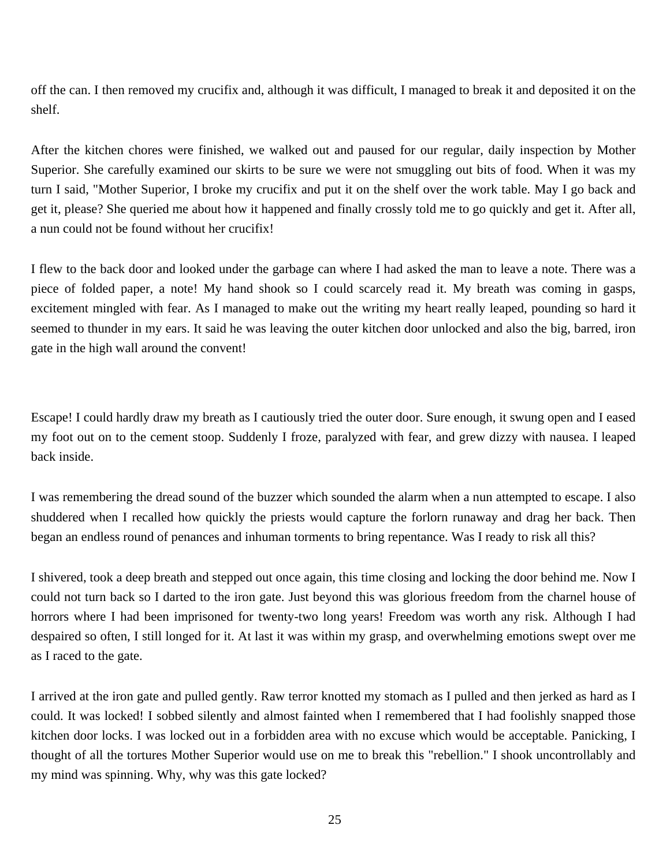off the can. I then removed my crucifix and, although it was difficult, I managed to break it and deposited it on the shelf.

After the kitchen chores were finished, we walked out and paused for our regular, daily inspection by Mother Superior. She carefully examined our skirts to be sure we were not smuggling out bits of food. When it was my turn I said, "Mother Superior, I broke my crucifix and put it on the shelf over the work table. May I go back and get it, please? She queried me about how it happened and finally crossly told me to go quickly and get it. After all, a nun could not be found without her crucifix!

I flew to the back door and looked under the garbage can where I had asked the man to leave a note. There was a piece of folded paper, a note! My hand shook so I could scarcely read it. My breath was coming in gasps, excitement mingled with fear. As I managed to make out the writing my heart really leaped, pounding so hard it seemed to thunder in my ears. It said he was leaving the outer kitchen door unlocked and also the big, barred, iron gate in the high wall around the convent!

Escape! I could hardly draw my breath as I cautiously tried the outer door. Sure enough, it swung open and I eased my foot out on to the cement stoop. Suddenly I froze, paralyzed with fear, and grew dizzy with nausea. I leaped back inside.

I was remembering the dread sound of the buzzer which sounded the alarm when a nun attempted to escape. I also shuddered when I recalled how quickly the priests would capture the forlorn runaway and drag her back. Then began an endless round of penances and inhuman torments to bring repentance. Was I ready to risk all this?

I shivered, took a deep breath and stepped out once again, this time closing and locking the door behind me. Now I could not turn back so I darted to the iron gate. Just beyond this was glorious freedom from the charnel house of horrors where I had been imprisoned for twenty-two long years! Freedom was worth any risk. Although I had despaired so often, I still longed for it. At last it was within my grasp, and overwhelming emotions swept over me as I raced to the gate.

I arrived at the iron gate and pulled gently. Raw terror knotted my stomach as I pulled and then jerked as hard as I could. It was locked! I sobbed silently and almost fainted when I remembered that I had foolishly snapped those kitchen door locks. I was locked out in a forbidden area with no excuse which would be acceptable. Panicking, I thought of all the tortures Mother Superior would use on me to break this "rebellion." I shook uncontrollably and my mind was spinning. Why, why was this gate locked?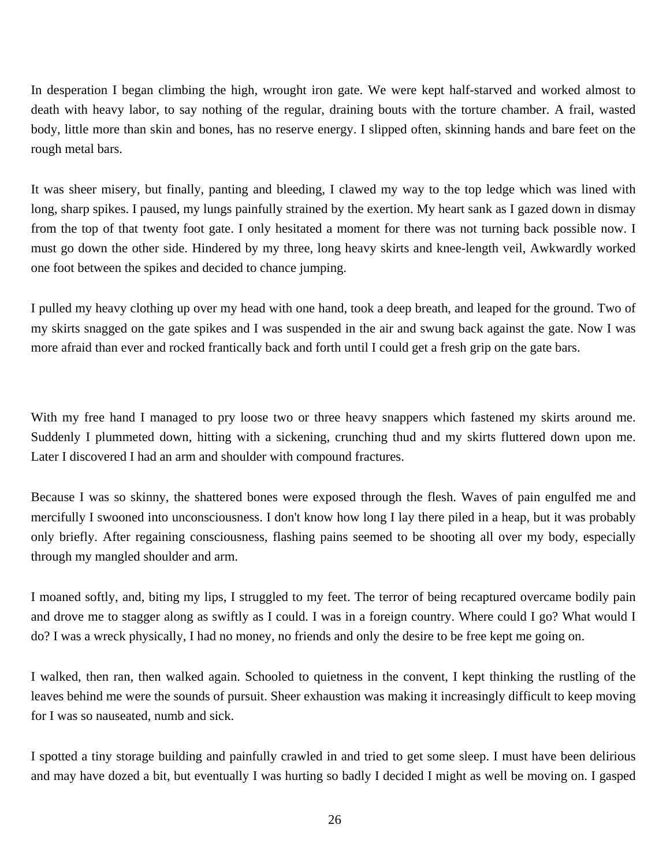In desperation I began climbing the high, wrought iron gate. We were kept half-starved and worked almost to death with heavy labor, to say nothing of the regular, draining bouts with the torture chamber. A frail, wasted body, little more than skin and bones, has no reserve energy. I slipped often, skinning hands and bare feet on the rough metal bars.

It was sheer misery, but finally, panting and bleeding, I clawed my way to the top ledge which was lined with long, sharp spikes. I paused, my lungs painfully strained by the exertion. My heart sank as I gazed down in dismay from the top of that twenty foot gate. I only hesitated a moment for there was not turning back possible now. I must go down the other side. Hindered by my three, long heavy skirts and knee-length veil, Awkwardly worked one foot between the spikes and decided to chance jumping.

I pulled my heavy clothing up over my head with one hand, took a deep breath, and leaped for the ground. Two of my skirts snagged on the gate spikes and I was suspended in the air and swung back against the gate. Now I was more afraid than ever and rocked frantically back and forth until I could get a fresh grip on the gate bars.

With my free hand I managed to pry loose two or three heavy snappers which fastened my skirts around me. Suddenly I plummeted down, hitting with a sickening, crunching thud and my skirts fluttered down upon me. Later I discovered I had an arm and shoulder with compound fractures.

Because I was so skinny, the shattered bones were exposed through the flesh. Waves of pain engulfed me and mercifully I swooned into unconsciousness. I don't know how long I lay there piled in a heap, but it was probably only briefly. After regaining consciousness, flashing pains seemed to be shooting all over my body, especially through my mangled shoulder and arm.

I moaned softly, and, biting my lips, I struggled to my feet. The terror of being recaptured overcame bodily pain and drove me to stagger along as swiftly as I could. I was in a foreign country. Where could I go? What would I do? I was a wreck physically, I had no money, no friends and only the desire to be free kept me going on.

I walked, then ran, then walked again. Schooled to quietness in the convent, I kept thinking the rustling of the leaves behind me were the sounds of pursuit. Sheer exhaustion was making it increasingly difficult to keep moving for I was so nauseated, numb and sick.

I spotted a tiny storage building and painfully crawled in and tried to get some sleep. I must have been delirious and may have dozed a bit, but eventually I was hurting so badly I decided I might as well be moving on. I gasped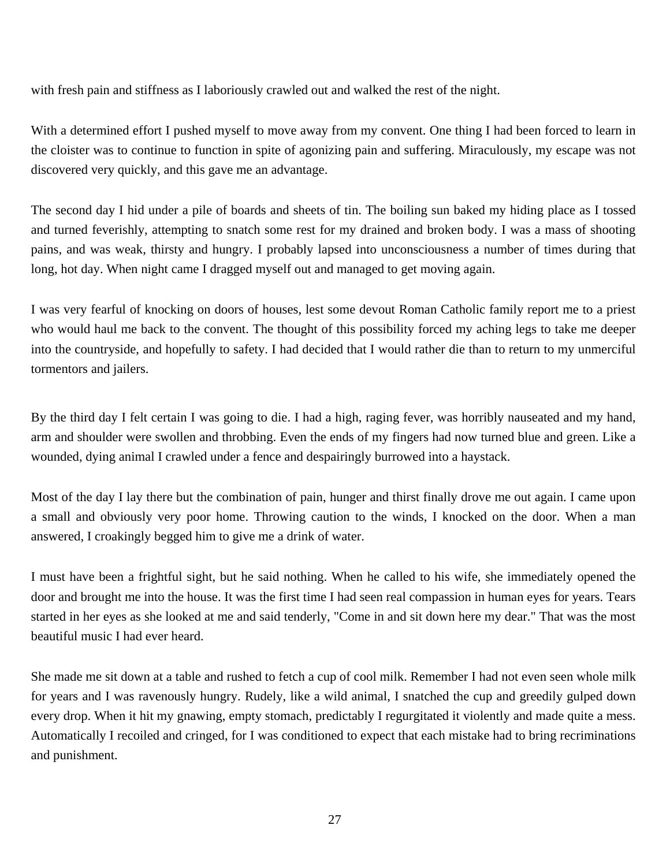with fresh pain and stiffness as I laboriously crawled out and walked the rest of the night.

With a determined effort I pushed myself to move away from my convent. One thing I had been forced to learn in the cloister was to continue to function in spite of agonizing pain and suffering. Miraculously, my escape was not discovered very quickly, and this gave me an advantage.

The second day I hid under a pile of boards and sheets of tin. The boiling sun baked my hiding place as I tossed and turned feverishly, attempting to snatch some rest for my drained and broken body. I was a mass of shooting pains, and was weak, thirsty and hungry. I probably lapsed into unconsciousness a number of times during that long, hot day. When night came I dragged myself out and managed to get moving again.

I was very fearful of knocking on doors of houses, lest some devout Roman Catholic family report me to a priest who would haul me back to the convent. The thought of this possibility forced my aching legs to take me deeper into the countryside, and hopefully to safety. I had decided that I would rather die than to return to my unmerciful tormentors and jailers.

By the third day I felt certain I was going to die. I had a high, raging fever, was horribly nauseated and my hand, arm and shoulder were swollen and throbbing. Even the ends of my fingers had now turned blue and green. Like a wounded, dying animal I crawled under a fence and despairingly burrowed into a haystack.

Most of the day I lay there but the combination of pain, hunger and thirst finally drove me out again. I came upon a small and obviously very poor home. Throwing caution to the winds, I knocked on the door. When a man answered, I croakingly begged him to give me a drink of water.

I must have been a frightful sight, but he said nothing. When he called to his wife, she immediately opened the door and brought me into the house. It was the first time I had seen real compassion in human eyes for years. Tears started in her eyes as she looked at me and said tenderly, "Come in and sit down here my dear." That was the most beautiful music I had ever heard.

She made me sit down at a table and rushed to fetch a cup of cool milk. Remember I had not even seen whole milk for years and I was ravenously hungry. Rudely, like a wild animal, I snatched the cup and greedily gulped down every drop. When it hit my gnawing, empty stomach, predictably I regurgitated it violently and made quite a mess. Automatically I recoiled and cringed, for I was conditioned to expect that each mistake had to bring recriminations and punishment.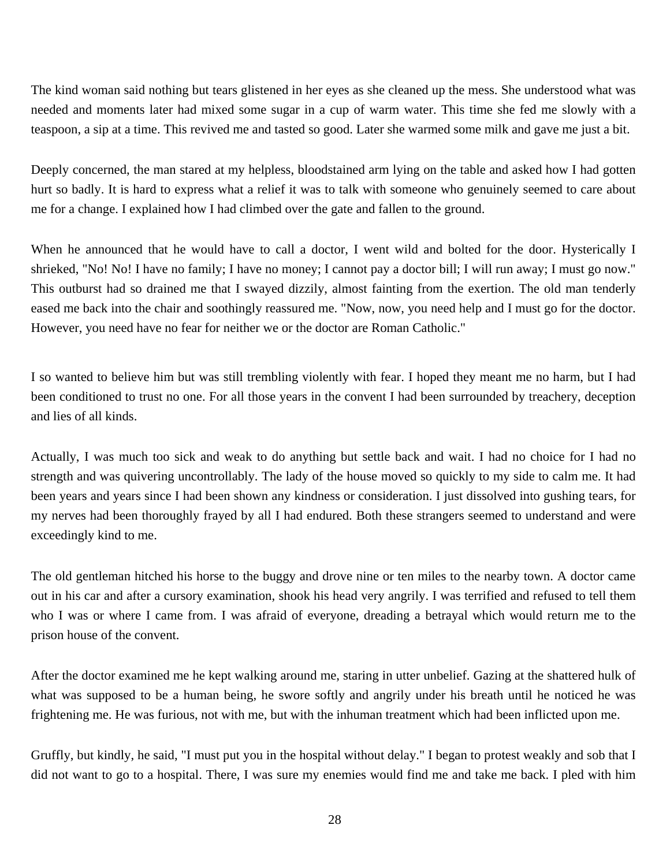The kind woman said nothing but tears glistened in her eyes as she cleaned up the mess. She understood what was needed and moments later had mixed some sugar in a cup of warm water. This time she fed me slowly with a teaspoon, a sip at a time. This revived me and tasted so good. Later she warmed some milk and gave me just a bit.

Deeply concerned, the man stared at my helpless, bloodstained arm lying on the table and asked how I had gotten hurt so badly. It is hard to express what a relief it was to talk with someone who genuinely seemed to care about me for a change. I explained how I had climbed over the gate and fallen to the ground.

When he announced that he would have to call a doctor, I went wild and bolted for the door. Hysterically I shrieked, "No! No! I have no family; I have no money; I cannot pay a doctor bill; I will run away; I must go now." This outburst had so drained me that I swayed dizzily, almost fainting from the exertion. The old man tenderly eased me back into the chair and soothingly reassured me. "Now, now, you need help and I must go for the doctor. However, you need have no fear for neither we or the doctor are Roman Catholic."

I so wanted to believe him but was still trembling violently with fear. I hoped they meant me no harm, but I had been conditioned to trust no one. For all those years in the convent I had been surrounded by treachery, deception and lies of all kinds.

Actually, I was much too sick and weak to do anything but settle back and wait. I had no choice for I had no strength and was quivering uncontrollably. The lady of the house moved so quickly to my side to calm me. It had been years and years since I had been shown any kindness or consideration. I just dissolved into gushing tears, for my nerves had been thoroughly frayed by all I had endured. Both these strangers seemed to understand and were exceedingly kind to me.

The old gentleman hitched his horse to the buggy and drove nine or ten miles to the nearby town. A doctor came out in his car and after a cursory examination, shook his head very angrily. I was terrified and refused to tell them who I was or where I came from. I was afraid of everyone, dreading a betrayal which would return me to the prison house of the convent.

After the doctor examined me he kept walking around me, staring in utter unbelief. Gazing at the shattered hulk of what was supposed to be a human being, he swore softly and angrily under his breath until he noticed he was frightening me. He was furious, not with me, but with the inhuman treatment which had been inflicted upon me.

Gruffly, but kindly, he said, "I must put you in the hospital without delay." I began to protest weakly and sob that I did not want to go to a hospital. There, I was sure my enemies would find me and take me back. I pled with him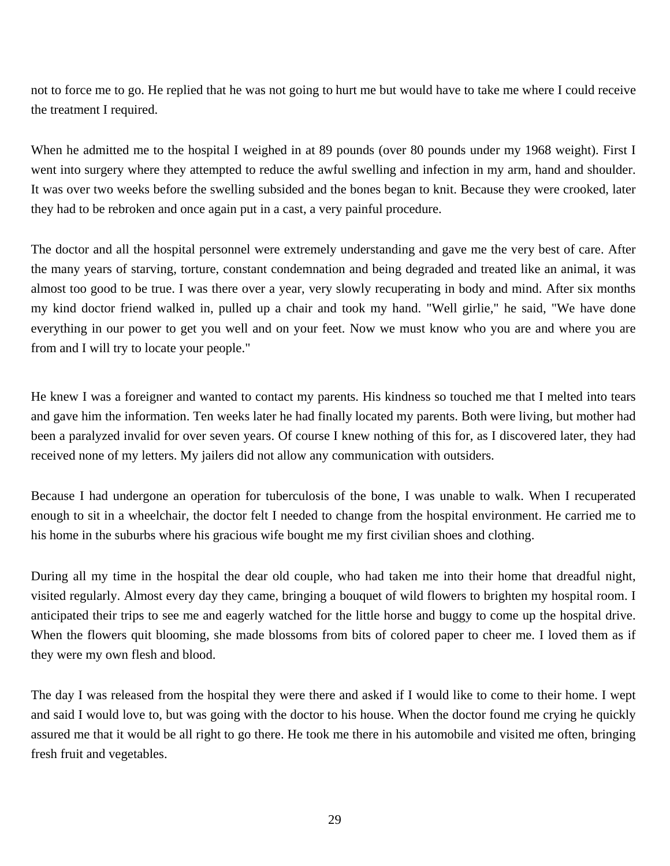not to force me to go. He replied that he was not going to hurt me but would have to take me where I could receive the treatment I required.

When he admitted me to the hospital I weighed in at 89 pounds (over 80 pounds under my 1968 weight). First I went into surgery where they attempted to reduce the awful swelling and infection in my arm, hand and shoulder. It was over two weeks before the swelling subsided and the bones began to knit. Because they were crooked, later they had to be rebroken and once again put in a cast, a very painful procedure.

The doctor and all the hospital personnel were extremely understanding and gave me the very best of care. After the many years of starving, torture, constant condemnation and being degraded and treated like an animal, it was almost too good to be true. I was there over a year, very slowly recuperating in body and mind. After six months my kind doctor friend walked in, pulled up a chair and took my hand. "Well girlie," he said, "We have done everything in our power to get you well and on your feet. Now we must know who you are and where you are from and I will try to locate your people."

He knew I was a foreigner and wanted to contact my parents. His kindness so touched me that I melted into tears and gave him the information. Ten weeks later he had finally located my parents. Both were living, but mother had been a paralyzed invalid for over seven years. Of course I knew nothing of this for, as I discovered later, they had received none of my letters. My jailers did not allow any communication with outsiders.

Because I had undergone an operation for tuberculosis of the bone, I was unable to walk. When I recuperated enough to sit in a wheelchair, the doctor felt I needed to change from the hospital environment. He carried me to his home in the suburbs where his gracious wife bought me my first civilian shoes and clothing.

During all my time in the hospital the dear old couple, who had taken me into their home that dreadful night, visited regularly. Almost every day they came, bringing a bouquet of wild flowers to brighten my hospital room. I anticipated their trips to see me and eagerly watched for the little horse and buggy to come up the hospital drive. When the flowers quit blooming, she made blossoms from bits of colored paper to cheer me. I loved them as if they were my own flesh and blood.

The day I was released from the hospital they were there and asked if I would like to come to their home. I wept and said I would love to, but was going with the doctor to his house. When the doctor found me crying he quickly assured me that it would be all right to go there. He took me there in his automobile and visited me often, bringing fresh fruit and vegetables.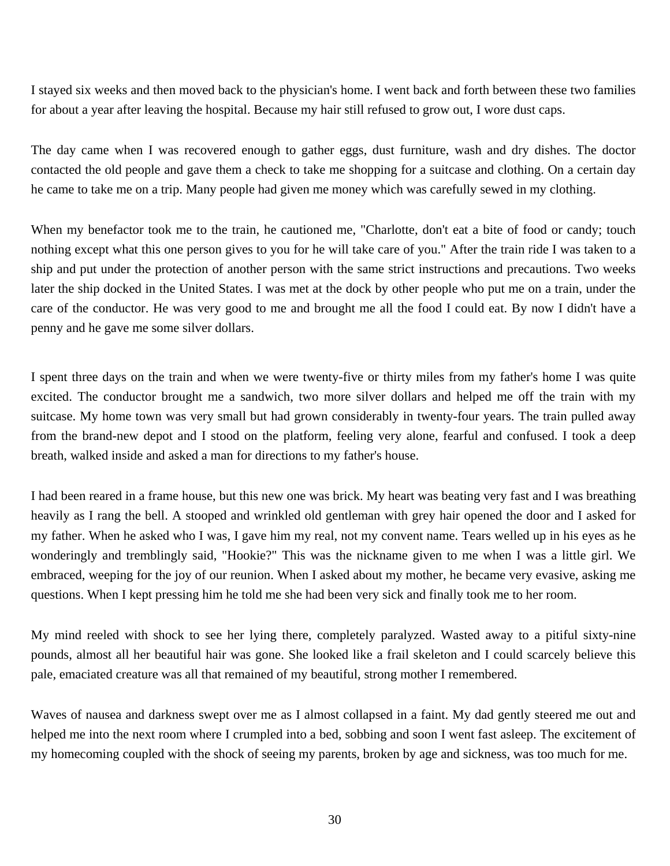I stayed six weeks and then moved back to the physician's home. I went back and forth between these two families for about a year after leaving the hospital. Because my hair still refused to grow out, I wore dust caps.

The day came when I was recovered enough to gather eggs, dust furniture, wash and dry dishes. The doctor contacted the old people and gave them a check to take me shopping for a suitcase and clothing. On a certain day he came to take me on a trip. Many people had given me money which was carefully sewed in my clothing.

When my benefactor took me to the train, he cautioned me, "Charlotte, don't eat a bite of food or candy; touch nothing except what this one person gives to you for he will take care of you." After the train ride I was taken to a ship and put under the protection of another person with the same strict instructions and precautions. Two weeks later the ship docked in the United States. I was met at the dock by other people who put me on a train, under the care of the conductor. He was very good to me and brought me all the food I could eat. By now I didn't have a penny and he gave me some silver dollars.

I spent three days on the train and when we were twenty-five or thirty miles from my father's home I was quite excited. The conductor brought me a sandwich, two more silver dollars and helped me off the train with my suitcase. My home town was very small but had grown considerably in twenty-four years. The train pulled away from the brand-new depot and I stood on the platform, feeling very alone, fearful and confused. I took a deep breath, walked inside and asked a man for directions to my father's house.

I had been reared in a frame house, but this new one was brick. My heart was beating very fast and I was breathing heavily as I rang the bell. A stooped and wrinkled old gentleman with grey hair opened the door and I asked for my father. When he asked who I was, I gave him my real, not my convent name. Tears welled up in his eyes as he wonderingly and tremblingly said, "Hookie?" This was the nickname given to me when I was a little girl. We embraced, weeping for the joy of our reunion. When I asked about my mother, he became very evasive, asking me questions. When I kept pressing him he told me she had been very sick and finally took me to her room.

My mind reeled with shock to see her lying there, completely paralyzed. Wasted away to a pitiful sixty-nine pounds, almost all her beautiful hair was gone. She looked like a frail skeleton and I could scarcely believe this pale, emaciated creature was all that remained of my beautiful, strong mother I remembered.

Waves of nausea and darkness swept over me as I almost collapsed in a faint. My dad gently steered me out and helped me into the next room where I crumpled into a bed, sobbing and soon I went fast asleep. The excitement of my homecoming coupled with the shock of seeing my parents, broken by age and sickness, was too much for me.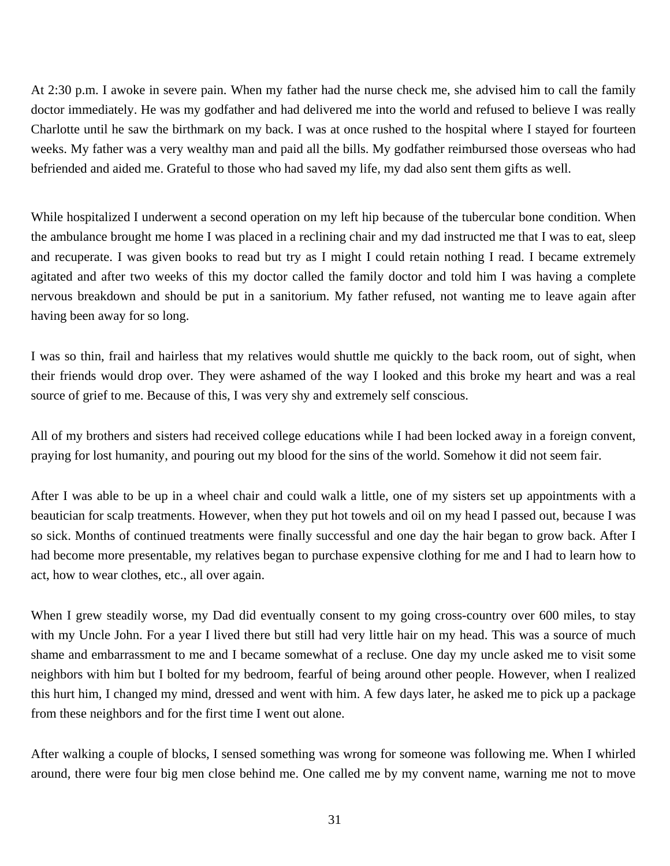At 2:30 p.m. I awoke in severe pain. When my father had the nurse check me, she advised him to call the family doctor immediately. He was my godfather and had delivered me into the world and refused to believe I was really Charlotte until he saw the birthmark on my back. I was at once rushed to the hospital where I stayed for fourteen weeks. My father was a very wealthy man and paid all the bills. My godfather reimbursed those overseas who had befriended and aided me. Grateful to those who had saved my life, my dad also sent them gifts as well.

While hospitalized I underwent a second operation on my left hip because of the tubercular bone condition. When the ambulance brought me home I was placed in a reclining chair and my dad instructed me that I was to eat, sleep and recuperate. I was given books to read but try as I might I could retain nothing I read. I became extremely agitated and after two weeks of this my doctor called the family doctor and told him I was having a complete nervous breakdown and should be put in a sanitorium. My father refused, not wanting me to leave again after having been away for so long.

I was so thin, frail and hairless that my relatives would shuttle me quickly to the back room, out of sight, when their friends would drop over. They were ashamed of the way I looked and this broke my heart and was a real source of grief to me. Because of this, I was very shy and extremely self conscious.

All of my brothers and sisters had received college educations while I had been locked away in a foreign convent, praying for lost humanity, and pouring out my blood for the sins of the world. Somehow it did not seem fair.

After I was able to be up in a wheel chair and could walk a little, one of my sisters set up appointments with a beautician for scalp treatments. However, when they put hot towels and oil on my head I passed out, because I was so sick. Months of continued treatments were finally successful and one day the hair began to grow back. After I had become more presentable, my relatives began to purchase expensive clothing for me and I had to learn how to act, how to wear clothes, etc., all over again.

When I grew steadily worse, my Dad did eventually consent to my going cross-country over 600 miles, to stay with my Uncle John. For a year I lived there but still had very little hair on my head. This was a source of much shame and embarrassment to me and I became somewhat of a recluse. One day my uncle asked me to visit some neighbors with him but I bolted for my bedroom, fearful of being around other people. However, when I realized this hurt him, I changed my mind, dressed and went with him. A few days later, he asked me to pick up a package from these neighbors and for the first time I went out alone.

After walking a couple of blocks, I sensed something was wrong for someone was following me. When I whirled around, there were four big men close behind me. One called me by my convent name, warning me not to move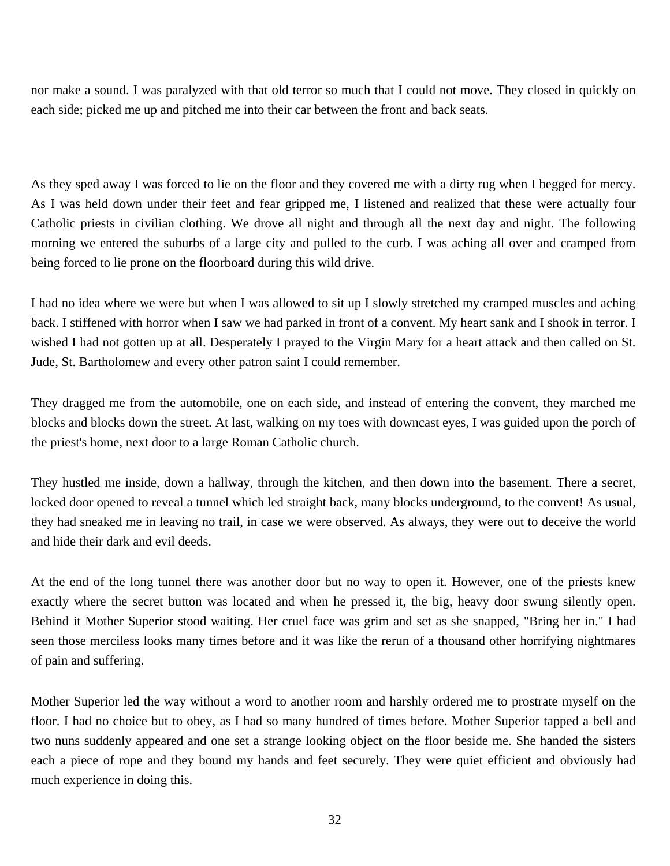nor make a sound. I was paralyzed with that old terror so much that I could not move. They closed in quickly on each side; picked me up and pitched me into their car between the front and back seats.

As they sped away I was forced to lie on the floor and they covered me with a dirty rug when I begged for mercy. As I was held down under their feet and fear gripped me, I listened and realized that these were actually four Catholic priests in civilian clothing. We drove all night and through all the next day and night. The following morning we entered the suburbs of a large city and pulled to the curb. I was aching all over and cramped from being forced to lie prone on the floorboard during this wild drive.

I had no idea where we were but when I was allowed to sit up I slowly stretched my cramped muscles and aching back. I stiffened with horror when I saw we had parked in front of a convent. My heart sank and I shook in terror. I wished I had not gotten up at all. Desperately I prayed to the Virgin Mary for a heart attack and then called on St. Jude, St. Bartholomew and every other patron saint I could remember.

They dragged me from the automobile, one on each side, and instead of entering the convent, they marched me blocks and blocks down the street. At last, walking on my toes with downcast eyes, I was guided upon the porch of the priest's home, next door to a large Roman Catholic church.

They hustled me inside, down a hallway, through the kitchen, and then down into the basement. There a secret, locked door opened to reveal a tunnel which led straight back, many blocks underground, to the convent! As usual, they had sneaked me in leaving no trail, in case we were observed. As always, they were out to deceive the world and hide their dark and evil deeds.

At the end of the long tunnel there was another door but no way to open it. However, one of the priests knew exactly where the secret button was located and when he pressed it, the big, heavy door swung silently open. Behind it Mother Superior stood waiting. Her cruel face was grim and set as she snapped, "Bring her in." I had seen those merciless looks many times before and it was like the rerun of a thousand other horrifying nightmares of pain and suffering.

Mother Superior led the way without a word to another room and harshly ordered me to prostrate myself on the floor. I had no choice but to obey, as I had so many hundred of times before. Mother Superior tapped a bell and two nuns suddenly appeared and one set a strange looking object on the floor beside me. She handed the sisters each a piece of rope and they bound my hands and feet securely. They were quiet efficient and obviously had much experience in doing this.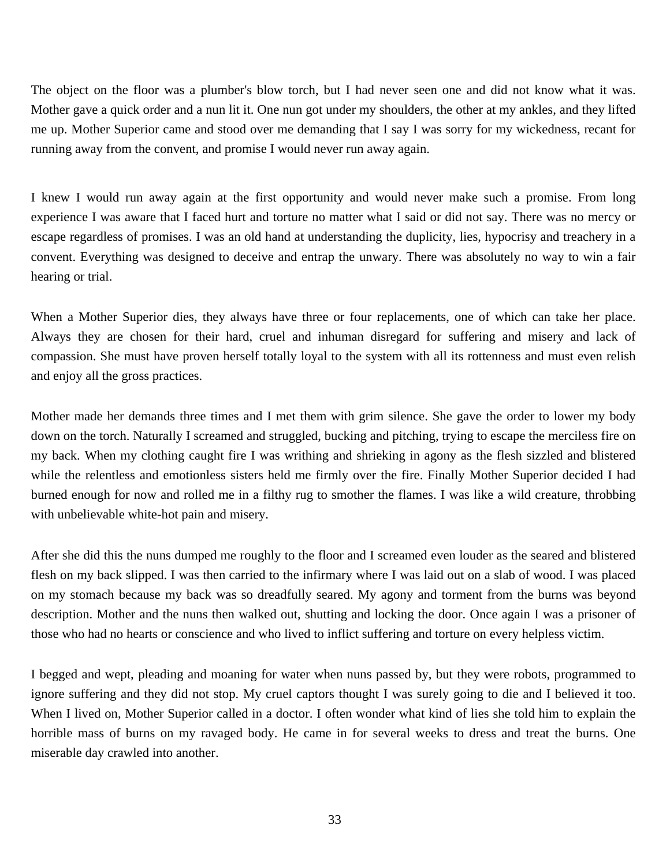The object on the floor was a plumber's blow torch, but I had never seen one and did not know what it was. Mother gave a quick order and a nun lit it. One nun got under my shoulders, the other at my ankles, and they lifted me up. Mother Superior came and stood over me demanding that I say I was sorry for my wickedness, recant for running away from the convent, and promise I would never run away again.

I knew I would run away again at the first opportunity and would never make such a promise. From long experience I was aware that I faced hurt and torture no matter what I said or did not say. There was no mercy or escape regardless of promises. I was an old hand at understanding the duplicity, lies, hypocrisy and treachery in a convent. Everything was designed to deceive and entrap the unwary. There was absolutely no way to win a fair hearing or trial.

When a Mother Superior dies, they always have three or four replacements, one of which can take her place. Always they are chosen for their hard, cruel and inhuman disregard for suffering and misery and lack of compassion. She must have proven herself totally loyal to the system with all its rottenness and must even relish and enjoy all the gross practices.

Mother made her demands three times and I met them with grim silence. She gave the order to lower my body down on the torch. Naturally I screamed and struggled, bucking and pitching, trying to escape the merciless fire on my back. When my clothing caught fire I was writhing and shrieking in agony as the flesh sizzled and blistered while the relentless and emotionless sisters held me firmly over the fire. Finally Mother Superior decided I had burned enough for now and rolled me in a filthy rug to smother the flames. I was like a wild creature, throbbing with unbelievable white-hot pain and misery.

After she did this the nuns dumped me roughly to the floor and I screamed even louder as the seared and blistered flesh on my back slipped. I was then carried to the infirmary where I was laid out on a slab of wood. I was placed on my stomach because my back was so dreadfully seared. My agony and torment from the burns was beyond description. Mother and the nuns then walked out, shutting and locking the door. Once again I was a prisoner of those who had no hearts or conscience and who lived to inflict suffering and torture on every helpless victim.

I begged and wept, pleading and moaning for water when nuns passed by, but they were robots, programmed to ignore suffering and they did not stop. My cruel captors thought I was surely going to die and I believed it too. When I lived on, Mother Superior called in a doctor. I often wonder what kind of lies she told him to explain the horrible mass of burns on my ravaged body. He came in for several weeks to dress and treat the burns. One miserable day crawled into another.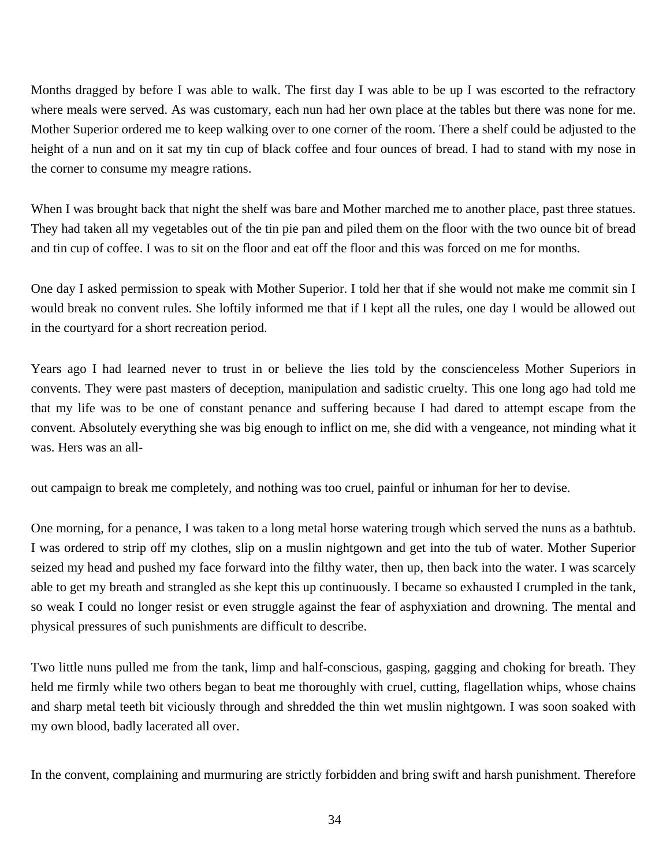Months dragged by before I was able to walk. The first day I was able to be up I was escorted to the refractory where meals were served. As was customary, each nun had her own place at the tables but there was none for me. Mother Superior ordered me to keep walking over to one corner of the room. There a shelf could be adjusted to the height of a nun and on it sat my tin cup of black coffee and four ounces of bread. I had to stand with my nose in the corner to consume my meagre rations.

When I was brought back that night the shelf was bare and Mother marched me to another place, past three statues. They had taken all my vegetables out of the tin pie pan and piled them on the floor with the two ounce bit of bread and tin cup of coffee. I was to sit on the floor and eat off the floor and this was forced on me for months.

One day I asked permission to speak with Mother Superior. I told her that if she would not make me commit sin I would break no convent rules. She loftily informed me that if I kept all the rules, one day I would be allowed out in the courtyard for a short recreation period.

Years ago I had learned never to trust in or believe the lies told by the conscienceless Mother Superiors in convents. They were past masters of deception, manipulation and sadistic cruelty. This one long ago had told me that my life was to be one of constant penance and suffering because I had dared to attempt escape from the convent. Absolutely everything she was big enough to inflict on me, she did with a vengeance, not minding what it was. Hers was an all-

out campaign to break me completely, and nothing was too cruel, painful or inhuman for her to devise.

One morning, for a penance, I was taken to a long metal horse watering trough which served the nuns as a bathtub. I was ordered to strip off my clothes, slip on a muslin nightgown and get into the tub of water. Mother Superior seized my head and pushed my face forward into the filthy water, then up, then back into the water. I was scarcely able to get my breath and strangled as she kept this up continuously. I became so exhausted I crumpled in the tank, so weak I could no longer resist or even struggle against the fear of asphyxiation and drowning. The mental and physical pressures of such punishments are difficult to describe.

Two little nuns pulled me from the tank, limp and half-conscious, gasping, gagging and choking for breath. They held me firmly while two others began to beat me thoroughly with cruel, cutting, flagellation whips, whose chains and sharp metal teeth bit viciously through and shredded the thin wet muslin nightgown. I was soon soaked with my own blood, badly lacerated all over.

In the convent, complaining and murmuring are strictly forbidden and bring swift and harsh punishment. Therefore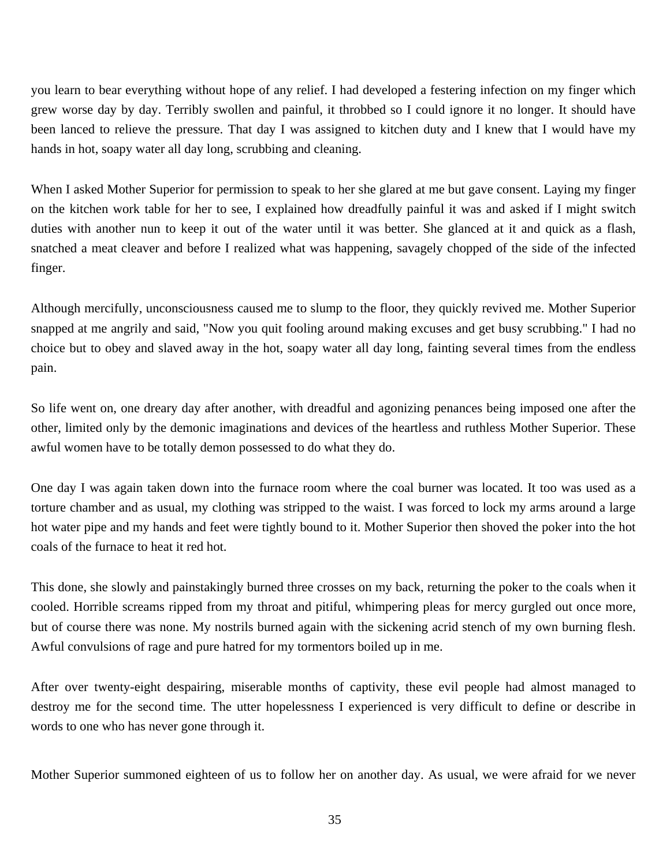you learn to bear everything without hope of any relief. I had developed a festering infection on my finger which grew worse day by day. Terribly swollen and painful, it throbbed so I could ignore it no longer. It should have been lanced to relieve the pressure. That day I was assigned to kitchen duty and I knew that I would have my hands in hot, soapy water all day long, scrubbing and cleaning.

When I asked Mother Superior for permission to speak to her she glared at me but gave consent. Laying my finger on the kitchen work table for her to see, I explained how dreadfully painful it was and asked if I might switch duties with another nun to keep it out of the water until it was better. She glanced at it and quick as a flash, snatched a meat cleaver and before I realized what was happening, savagely chopped of the side of the infected finger.

Although mercifully, unconsciousness caused me to slump to the floor, they quickly revived me. Mother Superior snapped at me angrily and said, "Now you quit fooling around making excuses and get busy scrubbing." I had no choice but to obey and slaved away in the hot, soapy water all day long, fainting several times from the endless pain.

So life went on, one dreary day after another, with dreadful and agonizing penances being imposed one after the other, limited only by the demonic imaginations and devices of the heartless and ruthless Mother Superior. These awful women have to be totally demon possessed to do what they do.

One day I was again taken down into the furnace room where the coal burner was located. It too was used as a torture chamber and as usual, my clothing was stripped to the waist. I was forced to lock my arms around a large hot water pipe and my hands and feet were tightly bound to it. Mother Superior then shoved the poker into the hot coals of the furnace to heat it red hot.

This done, she slowly and painstakingly burned three crosses on my back, returning the poker to the coals when it cooled. Horrible screams ripped from my throat and pitiful, whimpering pleas for mercy gurgled out once more, but of course there was none. My nostrils burned again with the sickening acrid stench of my own burning flesh. Awful convulsions of rage and pure hatred for my tormentors boiled up in me.

After over twenty-eight despairing, miserable months of captivity, these evil people had almost managed to destroy me for the second time. The utter hopelessness I experienced is very difficult to define or describe in words to one who has never gone through it.

Mother Superior summoned eighteen of us to follow her on another day. As usual, we were afraid for we never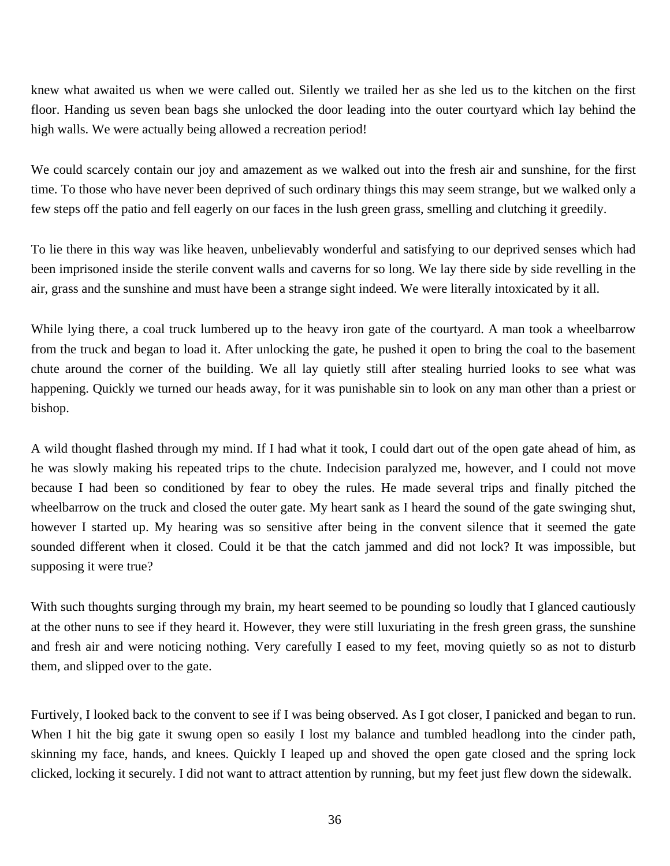knew what awaited us when we were called out. Silently we trailed her as she led us to the kitchen on the first floor. Handing us seven bean bags she unlocked the door leading into the outer courtyard which lay behind the high walls. We were actually being allowed a recreation period!

We could scarcely contain our joy and amazement as we walked out into the fresh air and sunshine, for the first time. To those who have never been deprived of such ordinary things this may seem strange, but we walked only a few steps off the patio and fell eagerly on our faces in the lush green grass, smelling and clutching it greedily.

To lie there in this way was like heaven, unbelievably wonderful and satisfying to our deprived senses which had been imprisoned inside the sterile convent walls and caverns for so long. We lay there side by side revelling in the air, grass and the sunshine and must have been a strange sight indeed. We were literally intoxicated by it all.

While lying there, a coal truck lumbered up to the heavy iron gate of the courtyard. A man took a wheelbarrow from the truck and began to load it. After unlocking the gate, he pushed it open to bring the coal to the basement chute around the corner of the building. We all lay quietly still after stealing hurried looks to see what was happening. Quickly we turned our heads away, for it was punishable sin to look on any man other than a priest or bishop.

A wild thought flashed through my mind. If I had what it took, I could dart out of the open gate ahead of him, as he was slowly making his repeated trips to the chute. Indecision paralyzed me, however, and I could not move because I had been so conditioned by fear to obey the rules. He made several trips and finally pitched the wheelbarrow on the truck and closed the outer gate. My heart sank as I heard the sound of the gate swinging shut, however I started up. My hearing was so sensitive after being in the convent silence that it seemed the gate sounded different when it closed. Could it be that the catch jammed and did not lock? It was impossible, but supposing it were true?

With such thoughts surging through my brain, my heart seemed to be pounding so loudly that I glanced cautiously at the other nuns to see if they heard it. However, they were still luxuriating in the fresh green grass, the sunshine and fresh air and were noticing nothing. Very carefully I eased to my feet, moving quietly so as not to disturb them, and slipped over to the gate.

Furtively, I looked back to the convent to see if I was being observed. As I got closer, I panicked and began to run. When I hit the big gate it swung open so easily I lost my balance and tumbled headlong into the cinder path, skinning my face, hands, and knees. Quickly I leaped up and shoved the open gate closed and the spring lock clicked, locking it securely. I did not want to attract attention by running, but my feet just flew down the sidewalk.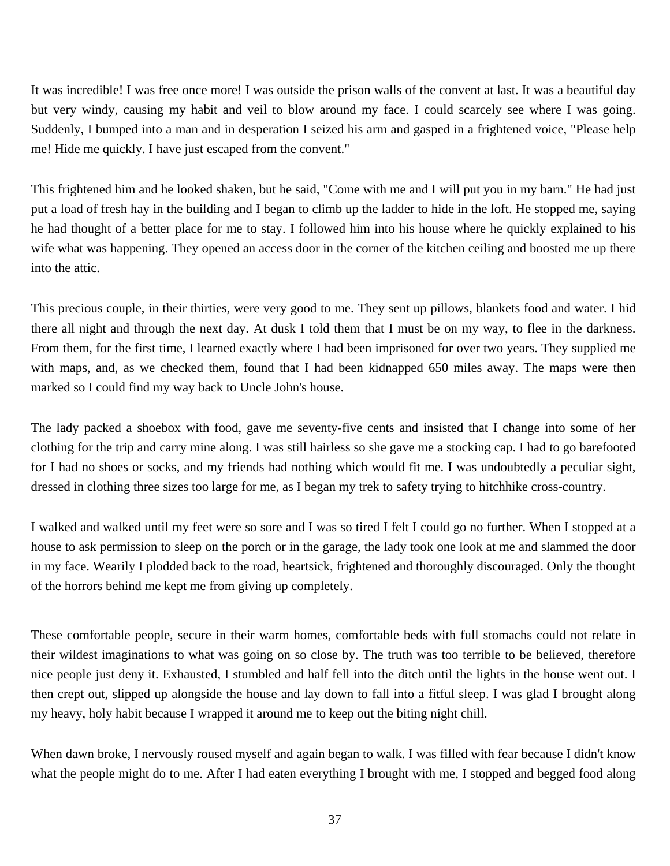It was incredible! I was free once more! I was outside the prison walls of the convent at last. It was a beautiful day but very windy, causing my habit and veil to blow around my face. I could scarcely see where I was going. Suddenly, I bumped into a man and in desperation I seized his arm and gasped in a frightened voice, "Please help me! Hide me quickly. I have just escaped from the convent."

This frightened him and he looked shaken, but he said, "Come with me and I will put you in my barn." He had just put a load of fresh hay in the building and I began to climb up the ladder to hide in the loft. He stopped me, saying he had thought of a better place for me to stay. I followed him into his house where he quickly explained to his wife what was happening. They opened an access door in the corner of the kitchen ceiling and boosted me up there into the attic.

This precious couple, in their thirties, were very good to me. They sent up pillows, blankets food and water. I hid there all night and through the next day. At dusk I told them that I must be on my way, to flee in the darkness. From them, for the first time, I learned exactly where I had been imprisoned for over two years. They supplied me with maps, and, as we checked them, found that I had been kidnapped 650 miles away. The maps were then marked so I could find my way back to Uncle John's house.

The lady packed a shoebox with food, gave me seventy-five cents and insisted that I change into some of her clothing for the trip and carry mine along. I was still hairless so she gave me a stocking cap. I had to go barefooted for I had no shoes or socks, and my friends had nothing which would fit me. I was undoubtedly a peculiar sight, dressed in clothing three sizes too large for me, as I began my trek to safety trying to hitchhike cross-country.

I walked and walked until my feet were so sore and I was so tired I felt I could go no further. When I stopped at a house to ask permission to sleep on the porch or in the garage, the lady took one look at me and slammed the door in my face. Wearily I plodded back to the road, heartsick, frightened and thoroughly discouraged. Only the thought of the horrors behind me kept me from giving up completely.

These comfortable people, secure in their warm homes, comfortable beds with full stomachs could not relate in their wildest imaginations to what was going on so close by. The truth was too terrible to be believed, therefore nice people just deny it. Exhausted, I stumbled and half fell into the ditch until the lights in the house went out. I then crept out, slipped up alongside the house and lay down to fall into a fitful sleep. I was glad I brought along my heavy, holy habit because I wrapped it around me to keep out the biting night chill.

When dawn broke, I nervously roused myself and again began to walk. I was filled with fear because I didn't know what the people might do to me. After I had eaten everything I brought with me, I stopped and begged food along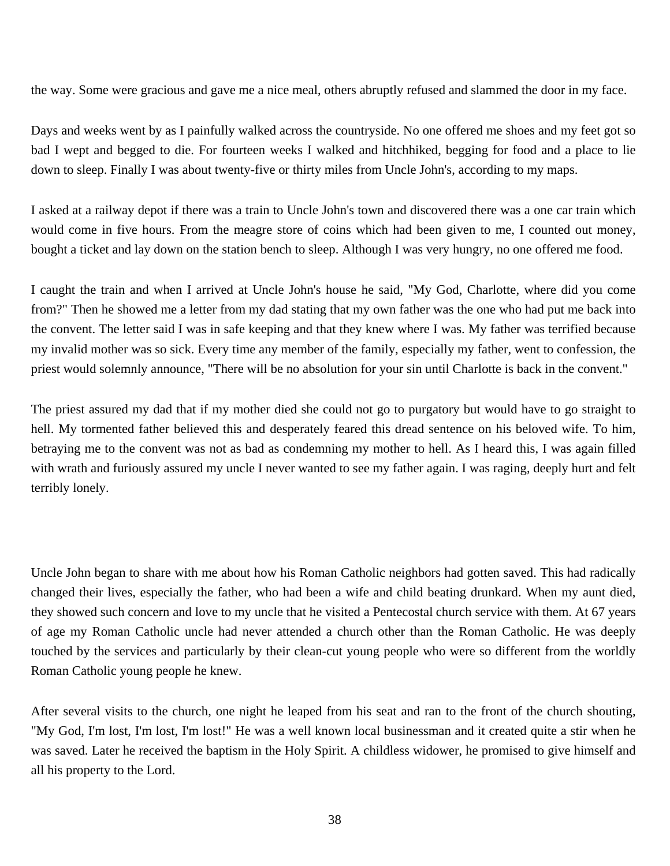the way. Some were gracious and gave me a nice meal, others abruptly refused and slammed the door in my face.

Days and weeks went by as I painfully walked across the countryside. No one offered me shoes and my feet got so bad I wept and begged to die. For fourteen weeks I walked and hitchhiked, begging for food and a place to lie down to sleep. Finally I was about twenty-five or thirty miles from Uncle John's, according to my maps.

I asked at a railway depot if there was a train to Uncle John's town and discovered there was a one car train which would come in five hours. From the meagre store of coins which had been given to me, I counted out money, bought a ticket and lay down on the station bench to sleep. Although I was very hungry, no one offered me food.

I caught the train and when I arrived at Uncle John's house he said, "My God, Charlotte, where did you come from?" Then he showed me a letter from my dad stating that my own father was the one who had put me back into the convent. The letter said I was in safe keeping and that they knew where I was. My father was terrified because my invalid mother was so sick. Every time any member of the family, especially my father, went to confession, the priest would solemnly announce, "There will be no absolution for your sin until Charlotte is back in the convent."

The priest assured my dad that if my mother died she could not go to purgatory but would have to go straight to hell. My tormented father believed this and desperately feared this dread sentence on his beloved wife. To him, betraying me to the convent was not as bad as condemning my mother to hell. As I heard this, I was again filled with wrath and furiously assured my uncle I never wanted to see my father again. I was raging, deeply hurt and felt terribly lonely.

Uncle John began to share with me about how his Roman Catholic neighbors had gotten saved. This had radically changed their lives, especially the father, who had been a wife and child beating drunkard. When my aunt died, they showed such concern and love to my uncle that he visited a Pentecostal church service with them. At 67 years of age my Roman Catholic uncle had never attended a church other than the Roman Catholic. He was deeply touched by the services and particularly by their clean-cut young people who were so different from the worldly Roman Catholic young people he knew.

After several visits to the church, one night he leaped from his seat and ran to the front of the church shouting, "My God, I'm lost, I'm lost, I'm lost!" He was a well known local businessman and it created quite a stir when he was saved. Later he received the baptism in the Holy Spirit. A childless widower, he promised to give himself and all his property to the Lord.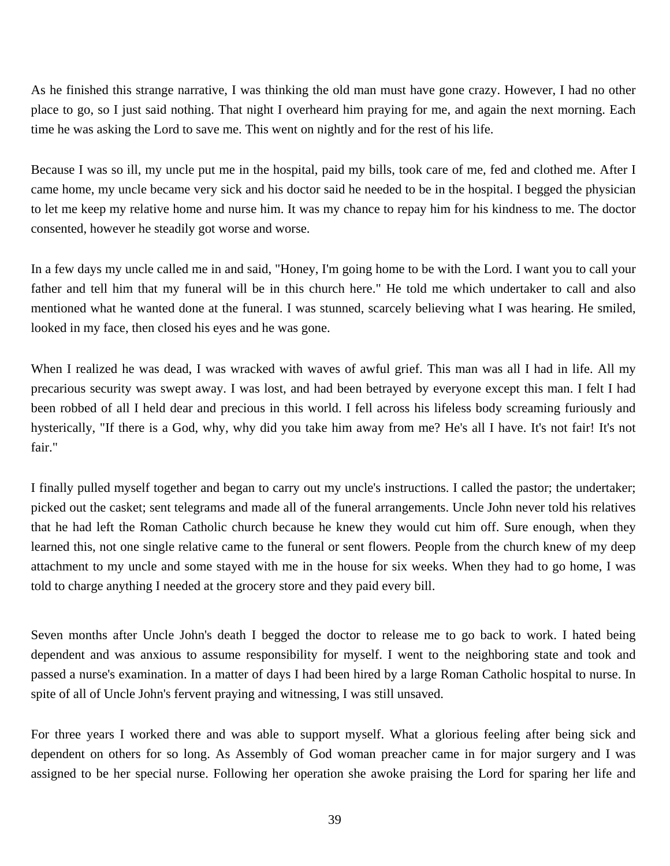As he finished this strange narrative, I was thinking the old man must have gone crazy. However, I had no other place to go, so I just said nothing. That night I overheard him praying for me, and again the next morning. Each time he was asking the Lord to save me. This went on nightly and for the rest of his life.

Because I was so ill, my uncle put me in the hospital, paid my bills, took care of me, fed and clothed me. After I came home, my uncle became very sick and his doctor said he needed to be in the hospital. I begged the physician to let me keep my relative home and nurse him. It was my chance to repay him for his kindness to me. The doctor consented, however he steadily got worse and worse.

In a few days my uncle called me in and said, "Honey, I'm going home to be with the Lord. I want you to call your father and tell him that my funeral will be in this church here." He told me which undertaker to call and also mentioned what he wanted done at the funeral. I was stunned, scarcely believing what I was hearing. He smiled, looked in my face, then closed his eyes and he was gone.

When I realized he was dead, I was wracked with waves of awful grief. This man was all I had in life. All my precarious security was swept away. I was lost, and had been betrayed by everyone except this man. I felt I had been robbed of all I held dear and precious in this world. I fell across his lifeless body screaming furiously and hysterically, "If there is a God, why, why did you take him away from me? He's all I have. It's not fair! It's not fair."

I finally pulled myself together and began to carry out my uncle's instructions. I called the pastor; the undertaker; picked out the casket; sent telegrams and made all of the funeral arrangements. Uncle John never told his relatives that he had left the Roman Catholic church because he knew they would cut him off. Sure enough, when they learned this, not one single relative came to the funeral or sent flowers. People from the church knew of my deep attachment to my uncle and some stayed with me in the house for six weeks. When they had to go home, I was told to charge anything I needed at the grocery store and they paid every bill.

Seven months after Uncle John's death I begged the doctor to release me to go back to work. I hated being dependent and was anxious to assume responsibility for myself. I went to the neighboring state and took and passed a nurse's examination. In a matter of days I had been hired by a large Roman Catholic hospital to nurse. In spite of all of Uncle John's fervent praying and witnessing, I was still unsaved.

For three years I worked there and was able to support myself. What a glorious feeling after being sick and dependent on others for so long. As Assembly of God woman preacher came in for major surgery and I was assigned to be her special nurse. Following her operation she awoke praising the Lord for sparing her life and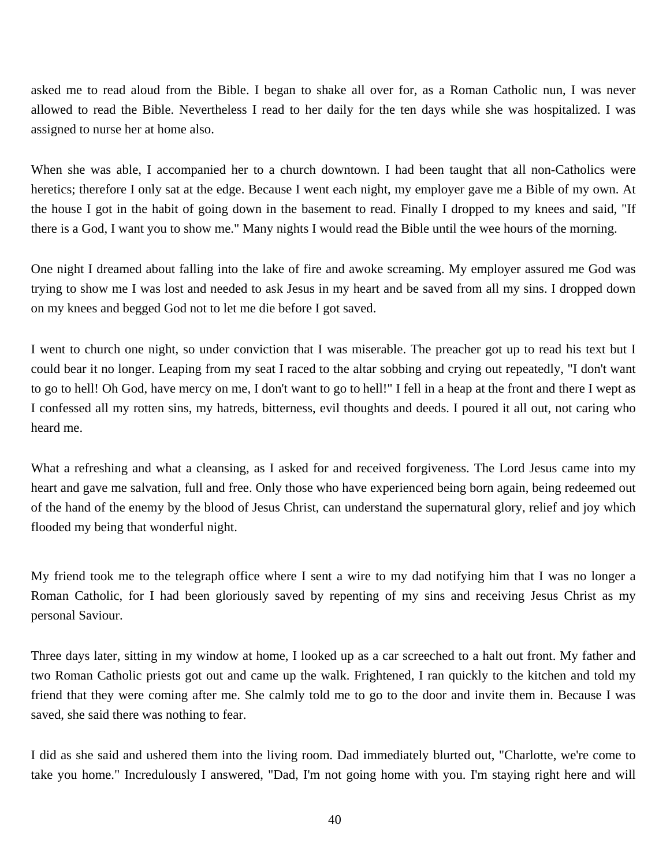asked me to read aloud from the Bible. I began to shake all over for, as a Roman Catholic nun, I was never allowed to read the Bible. Nevertheless I read to her daily for the ten days while she was hospitalized. I was assigned to nurse her at home also.

When she was able, I accompanied her to a church downtown. I had been taught that all non-Catholics were heretics; therefore I only sat at the edge. Because I went each night, my employer gave me a Bible of my own. At the house I got in the habit of going down in the basement to read. Finally I dropped to my knees and said, "If there is a God, I want you to show me." Many nights I would read the Bible until the wee hours of the morning.

One night I dreamed about falling into the lake of fire and awoke screaming. My employer assured me God was trying to show me I was lost and needed to ask Jesus in my heart and be saved from all my sins. I dropped down on my knees and begged God not to let me die before I got saved.

I went to church one night, so under conviction that I was miserable. The preacher got up to read his text but I could bear it no longer. Leaping from my seat I raced to the altar sobbing and crying out repeatedly, "I don't want to go to hell! Oh God, have mercy on me, I don't want to go to hell!" I fell in a heap at the front and there I wept as I confessed all my rotten sins, my hatreds, bitterness, evil thoughts and deeds. I poured it all out, not caring who heard me.

What a refreshing and what a cleansing, as I asked for and received forgiveness. The Lord Jesus came into my heart and gave me salvation, full and free. Only those who have experienced being born again, being redeemed out of the hand of the enemy by the blood of Jesus Christ, can understand the supernatural glory, relief and joy which flooded my being that wonderful night.

My friend took me to the telegraph office where I sent a wire to my dad notifying him that I was no longer a Roman Catholic, for I had been gloriously saved by repenting of my sins and receiving Jesus Christ as my personal Saviour.

Three days later, sitting in my window at home, I looked up as a car screeched to a halt out front. My father and two Roman Catholic priests got out and came up the walk. Frightened, I ran quickly to the kitchen and told my friend that they were coming after me. She calmly told me to go to the door and invite them in. Because I was saved, she said there was nothing to fear.

I did as she said and ushered them into the living room. Dad immediately blurted out, "Charlotte, we're come to take you home." Incredulously I answered, "Dad, I'm not going home with you. I'm staying right here and will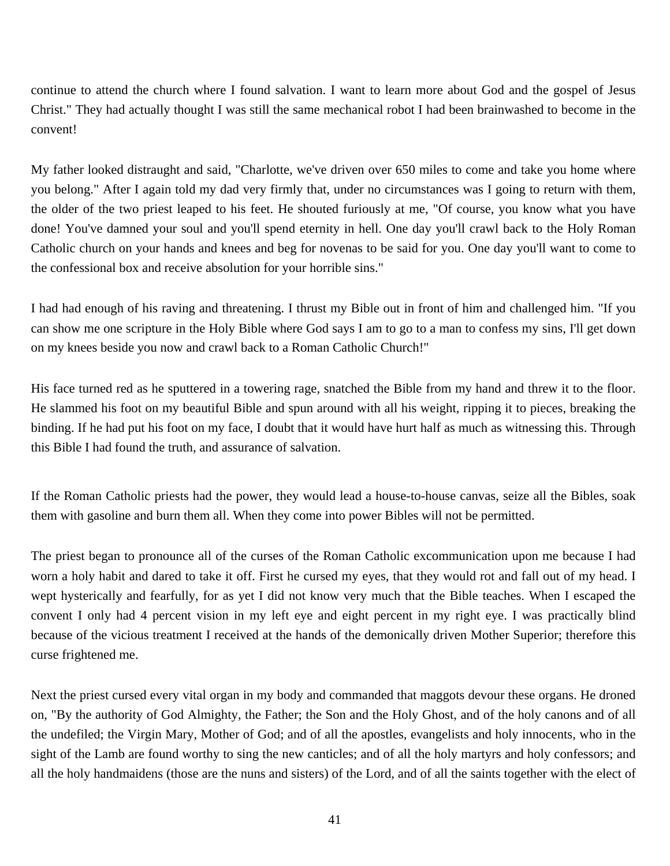continue to attend the church where I found salvation. I want to learn more about God and the gospel of Jesus Christ." They had actually thought I was still the same mechanical robot I had been brainwashed to become in the convent!

My father looked distraught and said, "Charlotte, we've driven over 650 miles to come and take you home where you belong." After I again told my dad very firmly that, under no circumstances was I going to return with them, the older of the two priest leaped to his feet. He shouted furiously at me, "Of course, you know what you have done! You've damned your soul and you'll spend eternity in hell. One day you'll crawl back to the Holy Roman Catholic church on your hands and knees and beg for novenas to be said for you. One day you'll want to come to the confessional box and receive absolution for your horrible sins."

I had had enough of his raving and threatening. I thrust my Bible out in front of him and challenged him. "If you can show me one scripture in the Holy Bible where God says I am to go to a man to confess my sins, I'll get down on my knees beside you now and crawl back to a Roman Catholic Church!"

His face turned red as he sputtered in a towering rage, snatched the Bible from my hand and threw it to the floor. He slammed his foot on my beautiful Bible and spun around with all his weight, ripping it to pieces, breaking the binding. If he had put his foot on my face, I doubt that it would have hurt half as much as witnessing this. Through this Bible I had found the truth, and assurance of salvation.

If the Roman Catholic priests had the power, they would lead a house-to-house canvas, seize all the Bibles, soak them with gasoline and burn them all. When they come into power Bibles will not be permitted.

The priest began to pronounce all of the curses of the Roman Catholic excommunication upon me because I had worn a holy habit and dared to take it off. First he cursed my eyes, that they would rot and fall out of my head. I wept hysterically and fearfully, for as yet I did not know very much that the Bible teaches. When I escaped the convent I only had 4 percent vision in my left eye and eight percent in my right eye. I was practically blind because of the vicious treatment I received at the hands of the demonically driven Mother Superior; therefore this curse frightened me.

Next the priest cursed every vital organ in my body and commanded that maggots devour these organs. He droned on, "By the authority of God Almighty, the Father; the Son and the Holy Ghost, and of the holy canons and of all the undefiled; the Virgin Mary, Mother of God; and of all the apostles, evangelists and holy innocents, who in the sight of the Lamb are found worthy to sing the new canticles; and of all the holy martyrs and holy confessors; and all the holy handmaidens (those are the nuns and sisters) of the Lord, and of all the saints together with the elect of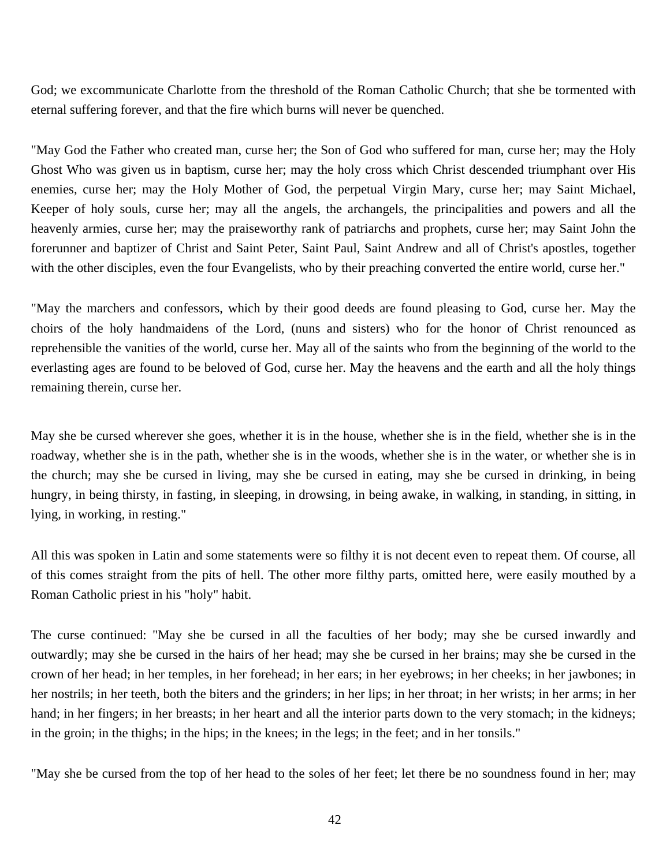God; we excommunicate Charlotte from the threshold of the Roman Catholic Church; that she be tormented with eternal suffering forever, and that the fire which burns will never be quenched.

"May God the Father who created man, curse her; the Son of God who suffered for man, curse her; may the Holy Ghost Who was given us in baptism, curse her; may the holy cross which Christ descended triumphant over His enemies, curse her; may the Holy Mother of God, the perpetual Virgin Mary, curse her; may Saint Michael, Keeper of holy souls, curse her; may all the angels, the archangels, the principalities and powers and all the heavenly armies, curse her; may the praiseworthy rank of patriarchs and prophets, curse her; may Saint John the forerunner and baptizer of Christ and Saint Peter, Saint Paul, Saint Andrew and all of Christ's apostles, together with the other disciples, even the four Evangelists, who by their preaching converted the entire world, curse her."

"May the marchers and confessors, which by their good deeds are found pleasing to God, curse her. May the choirs of the holy handmaidens of the Lord, (nuns and sisters) who for the honor of Christ renounced as reprehensible the vanities of the world, curse her. May all of the saints who from the beginning of the world to the everlasting ages are found to be beloved of God, curse her. May the heavens and the earth and all the holy things remaining therein, curse her.

May she be cursed wherever she goes, whether it is in the house, whether she is in the field, whether she is in the roadway, whether she is in the path, whether she is in the woods, whether she is in the water, or whether she is in the church; may she be cursed in living, may she be cursed in eating, may she be cursed in drinking, in being hungry, in being thirsty, in fasting, in sleeping, in drowsing, in being awake, in walking, in standing, in sitting, in lying, in working, in resting."

All this was spoken in Latin and some statements were so filthy it is not decent even to repeat them. Of course, all of this comes straight from the pits of hell. The other more filthy parts, omitted here, were easily mouthed by a Roman Catholic priest in his "holy" habit.

The curse continued: "May she be cursed in all the faculties of her body; may she be cursed inwardly and outwardly; may she be cursed in the hairs of her head; may she be cursed in her brains; may she be cursed in the crown of her head; in her temples, in her forehead; in her ears; in her eyebrows; in her cheeks; in her jawbones; in her nostrils; in her teeth, both the biters and the grinders; in her lips; in her throat; in her wrists; in her arms; in her hand; in her fingers; in her breasts; in her heart and all the interior parts down to the very stomach; in the kidneys; in the groin; in the thighs; in the hips; in the knees; in the legs; in the feet; and in her tonsils."

"May she be cursed from the top of her head to the soles of her feet; let there be no soundness found in her; may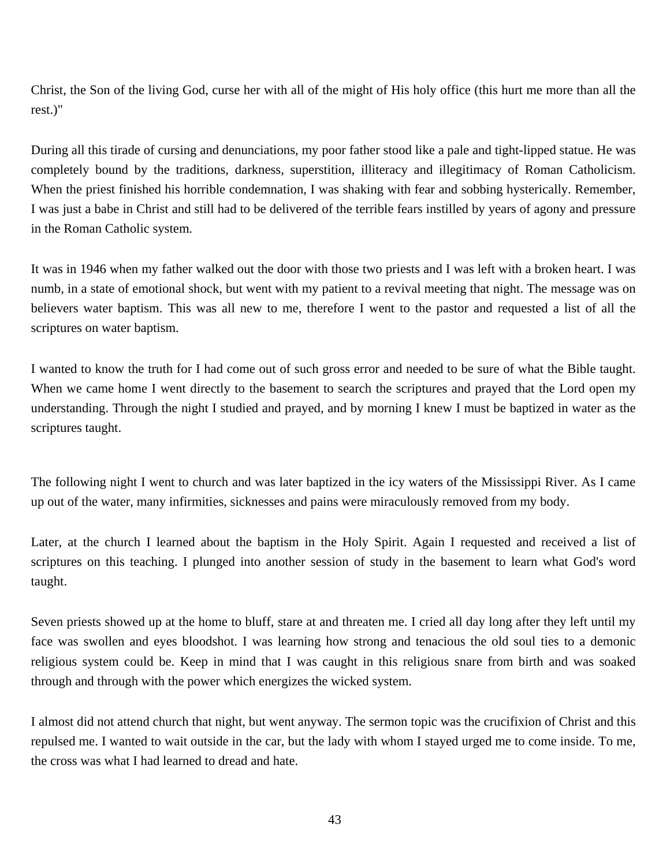Christ, the Son of the living God, curse her with all of the might of His holy office (this hurt me more than all the rest.)"

During all this tirade of cursing and denunciations, my poor father stood like a pale and tight-lipped statue. He was completely bound by the traditions, darkness, superstition, illiteracy and illegitimacy of Roman Catholicism. When the priest finished his horrible condemnation, I was shaking with fear and sobbing hysterically. Remember, I was just a babe in Christ and still had to be delivered of the terrible fears instilled by years of agony and pressure in the Roman Catholic system.

It was in 1946 when my father walked out the door with those two priests and I was left with a broken heart. I was numb, in a state of emotional shock, but went with my patient to a revival meeting that night. The message was on believers water baptism. This was all new to me, therefore I went to the pastor and requested a list of all the scriptures on water baptism.

I wanted to know the truth for I had come out of such gross error and needed to be sure of what the Bible taught. When we came home I went directly to the basement to search the scriptures and prayed that the Lord open my understanding. Through the night I studied and prayed, and by morning I knew I must be baptized in water as the scriptures taught.

The following night I went to church and was later baptized in the icy waters of the Mississippi River. As I came up out of the water, many infirmities, sicknesses and pains were miraculously removed from my body.

Later, at the church I learned about the baptism in the Holy Spirit. Again I requested and received a list of scriptures on this teaching. I plunged into another session of study in the basement to learn what God's word taught.

Seven priests showed up at the home to bluff, stare at and threaten me. I cried all day long after they left until my face was swollen and eyes bloodshot. I was learning how strong and tenacious the old soul ties to a demonic religious system could be. Keep in mind that I was caught in this religious snare from birth and was soaked through and through with the power which energizes the wicked system.

I almost did not attend church that night, but went anyway. The sermon topic was the crucifixion of Christ and this repulsed me. I wanted to wait outside in the car, but the lady with whom I stayed urged me to come inside. To me, the cross was what I had learned to dread and hate.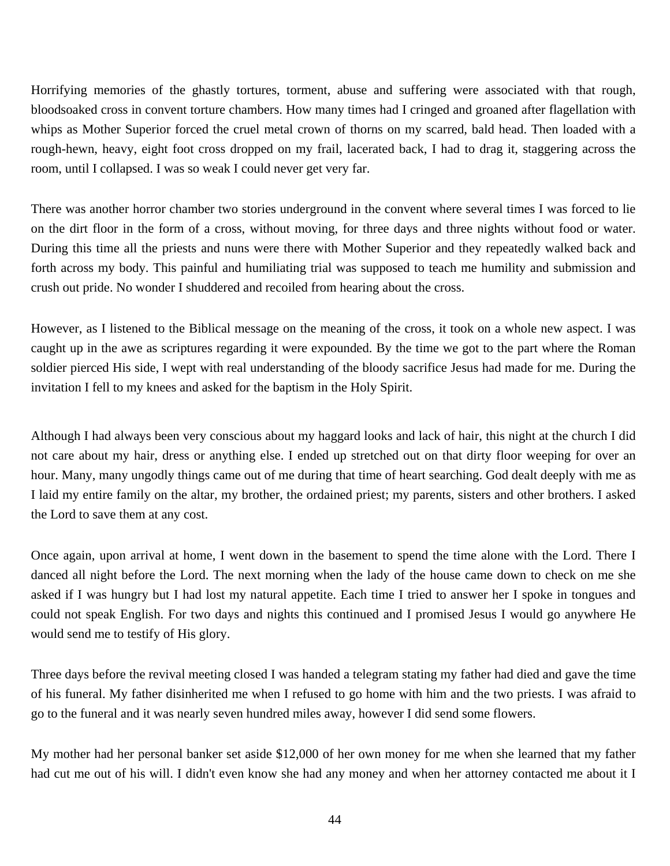Horrifying memories of the ghastly tortures, torment, abuse and suffering were associated with that rough, bloodsoaked cross in convent torture chambers. How many times had I cringed and groaned after flagellation with whips as Mother Superior forced the cruel metal crown of thorns on my scarred, bald head. Then loaded with a rough-hewn, heavy, eight foot cross dropped on my frail, lacerated back, I had to drag it, staggering across the room, until I collapsed. I was so weak I could never get very far.

There was another horror chamber two stories underground in the convent where several times I was forced to lie on the dirt floor in the form of a cross, without moving, for three days and three nights without food or water. During this time all the priests and nuns were there with Mother Superior and they repeatedly walked back and forth across my body. This painful and humiliating trial was supposed to teach me humility and submission and crush out pride. No wonder I shuddered and recoiled from hearing about the cross.

However, as I listened to the Biblical message on the meaning of the cross, it took on a whole new aspect. I was caught up in the awe as scriptures regarding it were expounded. By the time we got to the part where the Roman soldier pierced His side, I wept with real understanding of the bloody sacrifice Jesus had made for me. During the invitation I fell to my knees and asked for the baptism in the Holy Spirit.

Although I had always been very conscious about my haggard looks and lack of hair, this night at the church I did not care about my hair, dress or anything else. I ended up stretched out on that dirty floor weeping for over an hour. Many, many ungodly things came out of me during that time of heart searching. God dealt deeply with me as I laid my entire family on the altar, my brother, the ordained priest; my parents, sisters and other brothers. I asked the Lord to save them at any cost.

Once again, upon arrival at home, I went down in the basement to spend the time alone with the Lord. There I danced all night before the Lord. The next morning when the lady of the house came down to check on me she asked if I was hungry but I had lost my natural appetite. Each time I tried to answer her I spoke in tongues and could not speak English. For two days and nights this continued and I promised Jesus I would go anywhere He would send me to testify of His glory.

Three days before the revival meeting closed I was handed a telegram stating my father had died and gave the time of his funeral. My father disinherited me when I refused to go home with him and the two priests. I was afraid to go to the funeral and it was nearly seven hundred miles away, however I did send some flowers.

My mother had her personal banker set aside \$12,000 of her own money for me when she learned that my father had cut me out of his will. I didn't even know she had any money and when her attorney contacted me about it I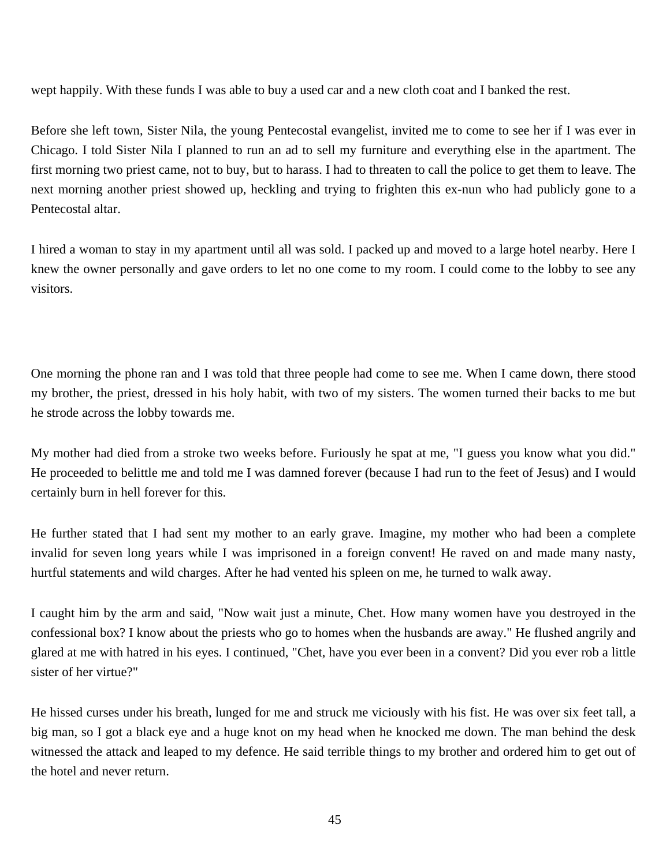wept happily. With these funds I was able to buy a used car and a new cloth coat and I banked the rest.

Before she left town, Sister Nila, the young Pentecostal evangelist, invited me to come to see her if I was ever in Chicago. I told Sister Nila I planned to run an ad to sell my furniture and everything else in the apartment. The first morning two priest came, not to buy, but to harass. I had to threaten to call the police to get them to leave. The next morning another priest showed up, heckling and trying to frighten this ex-nun who had publicly gone to a Pentecostal altar.

I hired a woman to stay in my apartment until all was sold. I packed up and moved to a large hotel nearby. Here I knew the owner personally and gave orders to let no one come to my room. I could come to the lobby to see any visitors.

One morning the phone ran and I was told that three people had come to see me. When I came down, there stood my brother, the priest, dressed in his holy habit, with two of my sisters. The women turned their backs to me but he strode across the lobby towards me.

My mother had died from a stroke two weeks before. Furiously he spat at me, "I guess you know what you did." He proceeded to belittle me and told me I was damned forever (because I had run to the feet of Jesus) and I would certainly burn in hell forever for this.

He further stated that I had sent my mother to an early grave. Imagine, my mother who had been a complete invalid for seven long years while I was imprisoned in a foreign convent! He raved on and made many nasty, hurtful statements and wild charges. After he had vented his spleen on me, he turned to walk away.

I caught him by the arm and said, "Now wait just a minute, Chet. How many women have you destroyed in the confessional box? I know about the priests who go to homes when the husbands are away." He flushed angrily and glared at me with hatred in his eyes. I continued, "Chet, have you ever been in a convent? Did you ever rob a little sister of her virtue?"

He hissed curses under his breath, lunged for me and struck me viciously with his fist. He was over six feet tall, a big man, so I got a black eye and a huge knot on my head when he knocked me down. The man behind the desk witnessed the attack and leaped to my defence. He said terrible things to my brother and ordered him to get out of the hotel and never return.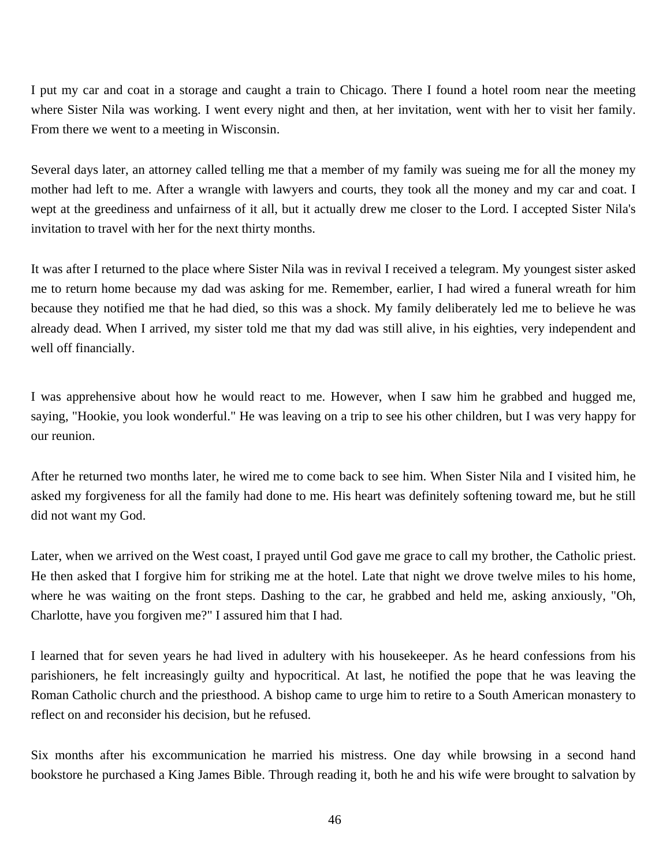I put my car and coat in a storage and caught a train to Chicago. There I found a hotel room near the meeting where Sister Nila was working. I went every night and then, at her invitation, went with her to visit her family. From there we went to a meeting in Wisconsin.

Several days later, an attorney called telling me that a member of my family was sueing me for all the money my mother had left to me. After a wrangle with lawyers and courts, they took all the money and my car and coat. I wept at the greediness and unfairness of it all, but it actually drew me closer to the Lord. I accepted Sister Nila's invitation to travel with her for the next thirty months.

It was after I returned to the place where Sister Nila was in revival I received a telegram. My youngest sister asked me to return home because my dad was asking for me. Remember, earlier, I had wired a funeral wreath for him because they notified me that he had died, so this was a shock. My family deliberately led me to believe he was already dead. When I arrived, my sister told me that my dad was still alive, in his eighties, very independent and well off financially.

I was apprehensive about how he would react to me. However, when I saw him he grabbed and hugged me, saying, "Hookie, you look wonderful." He was leaving on a trip to see his other children, but I was very happy for our reunion.

After he returned two months later, he wired me to come back to see him. When Sister Nila and I visited him, he asked my forgiveness for all the family had done to me. His heart was definitely softening toward me, but he still did not want my God.

Later, when we arrived on the West coast, I prayed until God gave me grace to call my brother, the Catholic priest. He then asked that I forgive him for striking me at the hotel. Late that night we drove twelve miles to his home, where he was waiting on the front steps. Dashing to the car, he grabbed and held me, asking anxiously, "Oh, Charlotte, have you forgiven me?" I assured him that I had.

I learned that for seven years he had lived in adultery with his housekeeper. As he heard confessions from his parishioners, he felt increasingly guilty and hypocritical. At last, he notified the pope that he was leaving the Roman Catholic church and the priesthood. A bishop came to urge him to retire to a South American monastery to reflect on and reconsider his decision, but he refused.

Six months after his excommunication he married his mistress. One day while browsing in a second hand bookstore he purchased a King James Bible. Through reading it, both he and his wife were brought to salvation by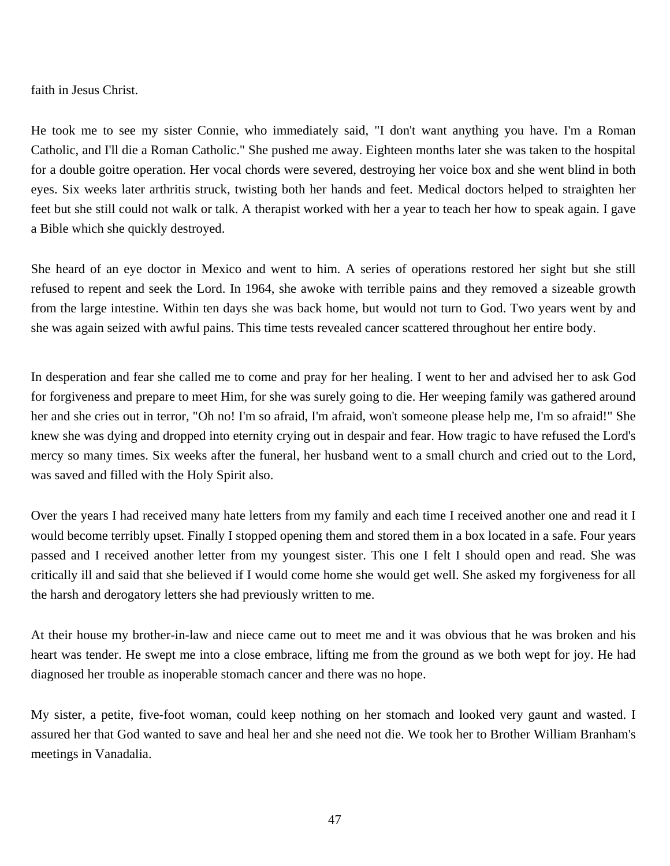faith in Jesus Christ.

He took me to see my sister Connie, who immediately said, "I don't want anything you have. I'm a Roman Catholic, and I'll die a Roman Catholic." She pushed me away. Eighteen months later she was taken to the hospital for a double goitre operation. Her vocal chords were severed, destroying her voice box and she went blind in both eyes. Six weeks later arthritis struck, twisting both her hands and feet. Medical doctors helped to straighten her feet but she still could not walk or talk. A therapist worked with her a year to teach her how to speak again. I gave a Bible which she quickly destroyed.

She heard of an eye doctor in Mexico and went to him. A series of operations restored her sight but she still refused to repent and seek the Lord. In 1964, she awoke with terrible pains and they removed a sizeable growth from the large intestine. Within ten days she was back home, but would not turn to God. Two years went by and she was again seized with awful pains. This time tests revealed cancer scattered throughout her entire body.

In desperation and fear she called me to come and pray for her healing. I went to her and advised her to ask God for forgiveness and prepare to meet Him, for she was surely going to die. Her weeping family was gathered around her and she cries out in terror, "Oh no! I'm so afraid, I'm afraid, won't someone please help me, I'm so afraid!" She knew she was dying and dropped into eternity crying out in despair and fear. How tragic to have refused the Lord's mercy so many times. Six weeks after the funeral, her husband went to a small church and cried out to the Lord, was saved and filled with the Holy Spirit also.

Over the years I had received many hate letters from my family and each time I received another one and read it I would become terribly upset. Finally I stopped opening them and stored them in a box located in a safe. Four years passed and I received another letter from my youngest sister. This one I felt I should open and read. She was critically ill and said that she believed if I would come home she would get well. She asked my forgiveness for all the harsh and derogatory letters she had previously written to me.

At their house my brother-in-law and niece came out to meet me and it was obvious that he was broken and his heart was tender. He swept me into a close embrace, lifting me from the ground as we both wept for joy. He had diagnosed her trouble as inoperable stomach cancer and there was no hope.

My sister, a petite, five-foot woman, could keep nothing on her stomach and looked very gaunt and wasted. I assured her that God wanted to save and heal her and she need not die. We took her to Brother William Branham's meetings in Vanadalia.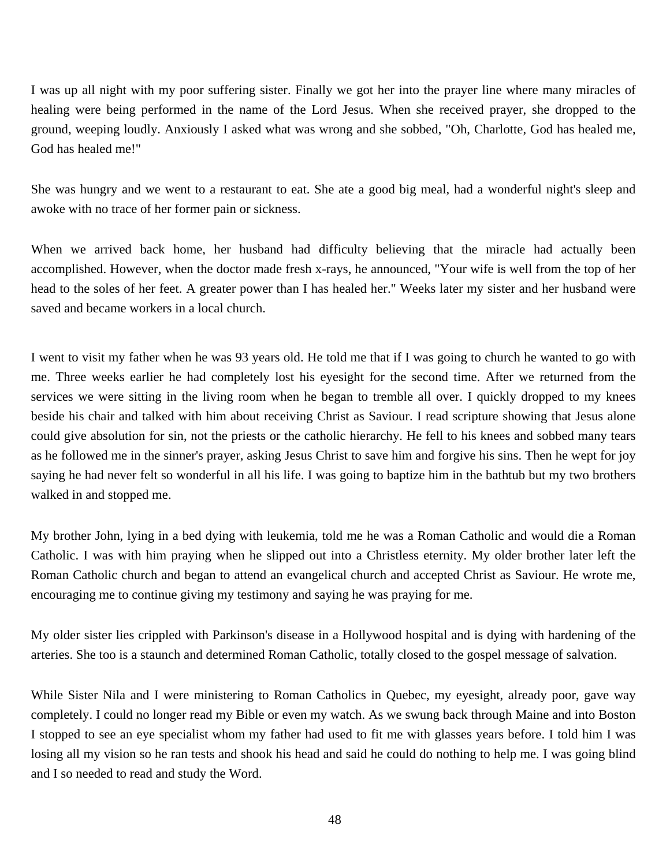I was up all night with my poor suffering sister. Finally we got her into the prayer line where many miracles of healing were being performed in the name of the Lord Jesus. When she received prayer, she dropped to the ground, weeping loudly. Anxiously I asked what was wrong and she sobbed, "Oh, Charlotte, God has healed me, God has healed me!"

She was hungry and we went to a restaurant to eat. She ate a good big meal, had a wonderful night's sleep and awoke with no trace of her former pain or sickness.

When we arrived back home, her husband had difficulty believing that the miracle had actually been accomplished. However, when the doctor made fresh x-rays, he announced, "Your wife is well from the top of her head to the soles of her feet. A greater power than I has healed her." Weeks later my sister and her husband were saved and became workers in a local church.

I went to visit my father when he was 93 years old. He told me that if I was going to church he wanted to go with me. Three weeks earlier he had completely lost his eyesight for the second time. After we returned from the services we were sitting in the living room when he began to tremble all over. I quickly dropped to my knees beside his chair and talked with him about receiving Christ as Saviour. I read scripture showing that Jesus alone could give absolution for sin, not the priests or the catholic hierarchy. He fell to his knees and sobbed many tears as he followed me in the sinner's prayer, asking Jesus Christ to save him and forgive his sins. Then he wept for joy saying he had never felt so wonderful in all his life. I was going to baptize him in the bathtub but my two brothers walked in and stopped me.

My brother John, lying in a bed dying with leukemia, told me he was a Roman Catholic and would die a Roman Catholic. I was with him praying when he slipped out into a Christless eternity. My older brother later left the Roman Catholic church and began to attend an evangelical church and accepted Christ as Saviour. He wrote me, encouraging me to continue giving my testimony and saying he was praying for me.

My older sister lies crippled with Parkinson's disease in a Hollywood hospital and is dying with hardening of the arteries. She too is a staunch and determined Roman Catholic, totally closed to the gospel message of salvation.

While Sister Nila and I were ministering to Roman Catholics in Quebec, my eyesight, already poor, gave way completely. I could no longer read my Bible or even my watch. As we swung back through Maine and into Boston I stopped to see an eye specialist whom my father had used to fit me with glasses years before. I told him I was losing all my vision so he ran tests and shook his head and said he could do nothing to help me. I was going blind and I so needed to read and study the Word.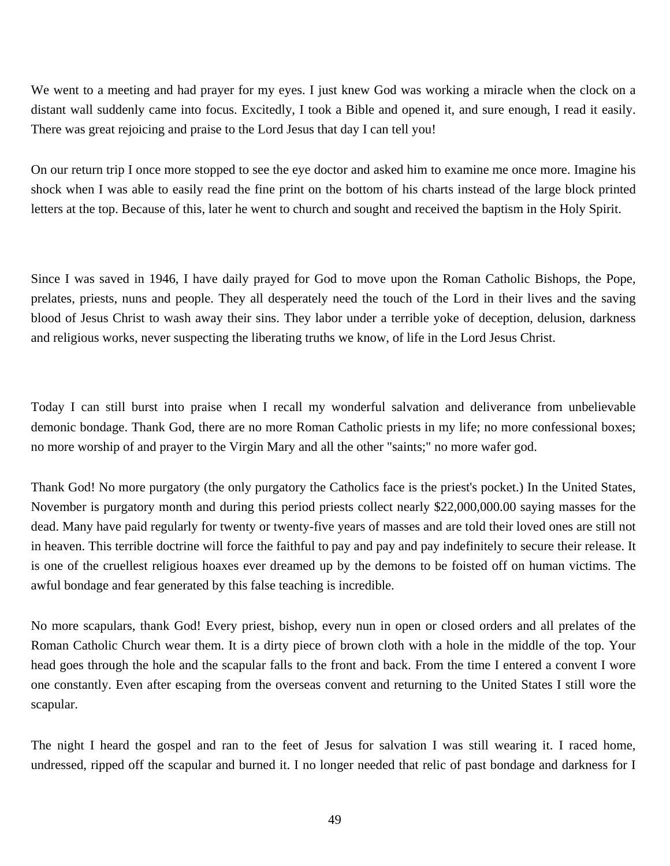We went to a meeting and had prayer for my eyes. I just knew God was working a miracle when the clock on a distant wall suddenly came into focus. Excitedly, I took a Bible and opened it, and sure enough, I read it easily. There was great rejoicing and praise to the Lord Jesus that day I can tell you!

On our return trip I once more stopped to see the eye doctor and asked him to examine me once more. Imagine his shock when I was able to easily read the fine print on the bottom of his charts instead of the large block printed letters at the top. Because of this, later he went to church and sought and received the baptism in the Holy Spirit.

Since I was saved in 1946, I have daily prayed for God to move upon the Roman Catholic Bishops, the Pope, prelates, priests, nuns and people. They all desperately need the touch of the Lord in their lives and the saving blood of Jesus Christ to wash away their sins. They labor under a terrible yoke of deception, delusion, darkness and religious works, never suspecting the liberating truths we know, of life in the Lord Jesus Christ.

Today I can still burst into praise when I recall my wonderful salvation and deliverance from unbelievable demonic bondage. Thank God, there are no more Roman Catholic priests in my life; no more confessional boxes; no more worship of and prayer to the Virgin Mary and all the other "saints;" no more wafer god.

Thank God! No more purgatory (the only purgatory the Catholics face is the priest's pocket.) In the United States, November is purgatory month and during this period priests collect nearly \$22,000,000.00 saying masses for the dead. Many have paid regularly for twenty or twenty-five years of masses and are told their loved ones are still not in heaven. This terrible doctrine will force the faithful to pay and pay and pay indefinitely to secure their release. It is one of the cruellest religious hoaxes ever dreamed up by the demons to be foisted off on human victims. The awful bondage and fear generated by this false teaching is incredible.

No more scapulars, thank God! Every priest, bishop, every nun in open or closed orders and all prelates of the Roman Catholic Church wear them. It is a dirty piece of brown cloth with a hole in the middle of the top. Your head goes through the hole and the scapular falls to the front and back. From the time I entered a convent I wore one constantly. Even after escaping from the overseas convent and returning to the United States I still wore the scapular.

The night I heard the gospel and ran to the feet of Jesus for salvation I was still wearing it. I raced home, undressed, ripped off the scapular and burned it. I no longer needed that relic of past bondage and darkness for I